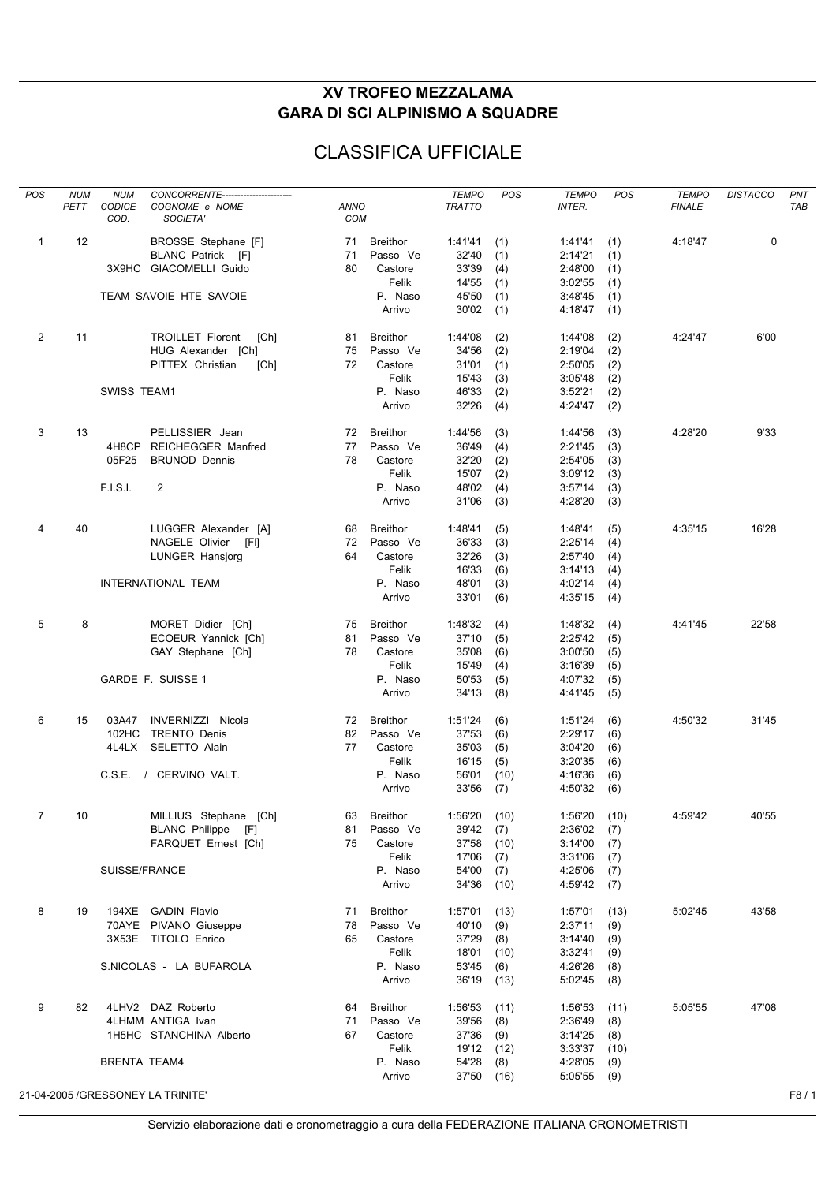## **XV TROFEO MEZZALAMA GARA DI SCI ALPINISMO A SQUADRE**

## CLASSIFICA UFFICIALE

| <b>POS</b>     | <b>NUM</b> | <b>NUM</b>            | CONCORRENTE------------------------      |                           |                             | <b>TEMPO</b>     | POS         | <b>TEMPO</b>       | POS        | <b>TEMPO</b>  | <b>DISTACCO</b> | PNT        |
|----------------|------------|-----------------------|------------------------------------------|---------------------------|-----------------------------|------------------|-------------|--------------------|------------|---------------|-----------------|------------|
|                | PETT       | <b>CODICE</b><br>COD. | COGNOME e NOME<br>SOCIETA'               | <b>ANNO</b><br><b>COM</b> |                             | <b>TRATTO</b>    |             | <b>INTER.</b>      |            | <b>FINALE</b> |                 | <b>TAB</b> |
|                |            |                       |                                          |                           |                             |                  |             |                    |            |               |                 |            |
| $\mathbf{1}$   | 12         |                       | BROSSE Stephane [F]<br>BLANC Patrick [F] | 71<br>71                  | <b>Breithor</b><br>Passo Ve | 1:41'41<br>32'40 | (1)<br>(1)  | 1:41'41<br>2:14'21 | (1)<br>(1) | 4:18'47       | $\mathbf 0$     |            |
|                |            |                       | 3X9HC GIACOMELLI Guido                   | 80                        | Castore                     | 33'39            | (4)         | 2:48'00            | (1)        |               |                 |            |
|                |            |                       |                                          |                           | Felik                       | 14'55            | (1)         | 3:02'55            | (1)        |               |                 |            |
|                |            |                       | TEAM SAVOIE HTE SAVOIE                   |                           | P. Naso                     | 45'50            | (1)         | 3:48'45            | (1)        |               |                 |            |
|                |            |                       |                                          |                           | Arrivo                      | 30'02            | (1)         | 4:18'47            | (1)        |               |                 |            |
| $\overline{2}$ | 11         |                       | <b>TROILLET Florent</b><br>[Ch]          | 81                        | <b>Breithor</b>             | 1:44'08          | (2)         | 1:44'08            | (2)        | 4:24'47       | 6'00            |            |
|                |            |                       | HUG Alexander [Ch]                       | 75                        | Passo Ve                    | 34'56            | (2)         | 2:19'04            | (2)        |               |                 |            |
|                |            |                       | PITTEX Christian<br>[Ch]                 | 72                        | Castore                     | 31'01            | (1)         | 2:50'05            | (2)        |               |                 |            |
|                |            |                       |                                          |                           | Felik                       | 15'43            | (3)         | 3:05'48            | (2)        |               |                 |            |
|                |            | SWISS TEAM1           |                                          |                           | P. Naso                     | 46'33            | (2)         | 3:52'21            | (2)        |               |                 |            |
|                |            |                       |                                          |                           | Arrivo                      | 32'26            | (4)         | 4:24'47            | (2)        |               |                 |            |
| 3              | 13         |                       | PELLISSIER Jean                          | 72                        | <b>Breithor</b>             | 1:44'56          | (3)         | 1:44'56            | (3)        | 4:28'20       | 9'33            |            |
|                |            | 4H8CP                 | <b>REICHEGGER Manfred</b>                | 77                        | Passo Ve                    | 36'49            | (4)         | 2:21'45            | (3)        |               |                 |            |
|                |            | 05F25                 | <b>BRUNOD Dennis</b>                     | 78                        | Castore                     | 32'20            | (2)         | 2:54'05            | (3)        |               |                 |            |
|                |            |                       |                                          |                           | Felik                       | 15'07            | (2)         | 3:09'12            | (3)        |               |                 |            |
|                |            | F.I.S.I.              | $\overline{2}$                           |                           | P. Naso<br>Arrivo           | 48'02<br>31'06   | (4)<br>(3)  | 3:57'14<br>4:28'20 | (3)<br>(3) |               |                 |            |
|                |            |                       |                                          |                           |                             |                  |             |                    |            |               |                 |            |
| 4              | 40         |                       | LUGGER Alexander [A]                     | 68                        | <b>Breithor</b>             | 1:48'41          | (5)         | 1:48'41            | (5)        | 4:35'15       | 16'28           |            |
|                |            |                       | NAGELE Olivier [FI]                      | 72                        | Passo Ve                    | 36'33            | (3)         | 2:25'14            | (4)        |               |                 |            |
|                |            |                       | LUNGER Hansjorg                          | 64                        | Castore                     | 32'26            | (3)         | 2:57'40            | (4)        |               |                 |            |
|                |            |                       |                                          |                           | Felik                       | 16'33            | (6)         | 3:14'13            | (4)        |               |                 |            |
|                |            |                       | INTERNATIONAL TEAM                       |                           | P. Naso                     | 48'01            | (3)         | 4:02'14            | (4)        |               |                 |            |
|                |            |                       |                                          |                           | Arrivo                      | 33'01            | (6)         | 4:35'15            | (4)        |               |                 |            |
| 5              | 8          |                       | MORET Didier [Ch]                        | 75                        | <b>Breithor</b>             | 1:48'32          | (4)         | 1:48'32            | (4)        | 4:41'45       | 22'58           |            |
|                |            |                       | ECOEUR Yannick [Ch]                      | 81                        | Passo Ve                    | 37'10            | (5)         | 2:25'42            | (5)        |               |                 |            |
|                |            |                       | GAY Stephane [Ch]                        | 78                        | Castore                     | 35'08            | (6)         | 3:00'50            | (5)        |               |                 |            |
|                |            |                       |                                          |                           | Felik                       | 15'49            | (4)         | 3:16'39            | (5)        |               |                 |            |
|                |            |                       | GARDE F. SUISSE 1                        |                           | P. Naso                     | 50'53            | (5)         | 4:07'32            | (5)        |               |                 |            |
|                |            |                       |                                          |                           | Arrivo                      | 34'13            | (8)         | 4:41'45            | (5)        |               |                 |            |
| 6              | 15         | 03A47                 | INVERNIZZI Nicola                        | 72                        | <b>Breithor</b>             | 1:51'24          | (6)         | 1:51'24            | (6)        | 4:50'32       | 31'45           |            |
|                |            | 102HC                 | <b>TRENTO Denis</b>                      | 82                        | Passo Ve                    | 37'53            | (6)         | 2:29'17            | (6)        |               |                 |            |
|                |            | 4L4LX                 | <b>SELETTO Alain</b>                     | 77                        | Castore                     | 35'03            | (5)         | 3:04'20            | (6)        |               |                 |            |
|                |            |                       |                                          |                           | Felik                       | 16'15            | (5)         | 3:20'35            | (6)        |               |                 |            |
|                |            |                       | C.S.E. / CERVINO VALT.                   |                           | P. Naso                     | 56'01            | (10)        | 4:16'36            | (6)        |               |                 |            |
|                |            |                       |                                          |                           | Arrivo                      | 33'56            | (7)         | 4:50'32            | (6)        |               |                 |            |
| 7              | 10         |                       | MILLIUS Stephane [Ch]                    | 63                        | <b>Breithor</b>             | 1:56'20          | (10)        | 1:56'20            | (10)       | 4:59'42       | 40'55           |            |
|                |            |                       | BLANC Philippe [F]                       | 81                        | Passo Ve                    | 39'42            | (7)         | 2:36'02            | (7)        |               |                 |            |
|                |            |                       | FARQUET Ernest [Ch]                      | 75                        | Castore                     | 37'58            | (10)        | 3:14'00            | (7)        |               |                 |            |
|                |            |                       |                                          |                           | Felik                       | 17'06            | (7)         | 3:31'06            | (7)        |               |                 |            |
|                |            | SUISSE/FRANCE         |                                          |                           | P. Naso                     | 54'00            | (7)         | 4:25'06            | (7)        |               |                 |            |
|                |            |                       |                                          |                           | Arrivo                      | 34'36            | (10)        | 4:59'42            | (7)        |               |                 |            |
| 8              | 19         |                       | 194XE GADIN Flavio                       | 71                        | <b>Breithor</b>             | 1:57'01          | (13)        | 1:57'01            | (13)       | 5:02'45       | 43'58           |            |
|                |            |                       | 70AYE PIVANO Giuseppe                    | 78                        | Passo Ve                    | 40'10            | (9)         | 2:37'11            | (9)        |               |                 |            |
|                |            |                       | 3X53E TITOLO Enrico                      | 65                        | Castore                     | 37'29            | (8)         | 3:14'40            | (9)        |               |                 |            |
|                |            |                       |                                          |                           | Felik                       | 18'01            | (10)        | 3:32'41            | (9)        |               |                 |            |
|                |            |                       | S.NICOLAS - LA BUFAROLA                  |                           | P. Naso<br>Arrivo           | 53'45<br>36'19   | (6)<br>(13) | 4:26'26<br>5:02'45 | (8)<br>(8) |               |                 |            |
| 9              | 82         |                       | 4LHV2 DAZ Roberto                        | 64                        | <b>Breithor</b>             | 1:56'53          | (11)        | 1:56'53            | (11)       | 5:05'55       | 47'08           |            |
|                |            |                       | 4LHMM ANTIGA Ivan                        | 71                        | Passo Ve                    | 39'56            | (8)         | 2:36'49            | (8)        |               |                 |            |
|                |            |                       | 1H5HC STANCHINA Alberto                  | 67                        | Castore                     | 37'36            | (9)         | 3:14'25            | (8)        |               |                 |            |
|                |            |                       |                                          |                           | Felik                       | 19'12 (12)       |             | 3:33'37            | (10)       |               |                 |            |
|                |            | <b>BRENTA TEAM4</b>   |                                          |                           | P. Naso                     | 54'28            | (8)         | 4:28'05            | (9)        |               |                 |            |
|                |            |                       |                                          |                           | Arrivo                      | 37'50 (16)       |             | 5:05'55            | (9)        |               |                 |            |
|                |            |                       | 21-04-2005 /GRESSONEY LA TRINITE'        |                           |                             |                  |             |                    |            |               |                 | F8/1       |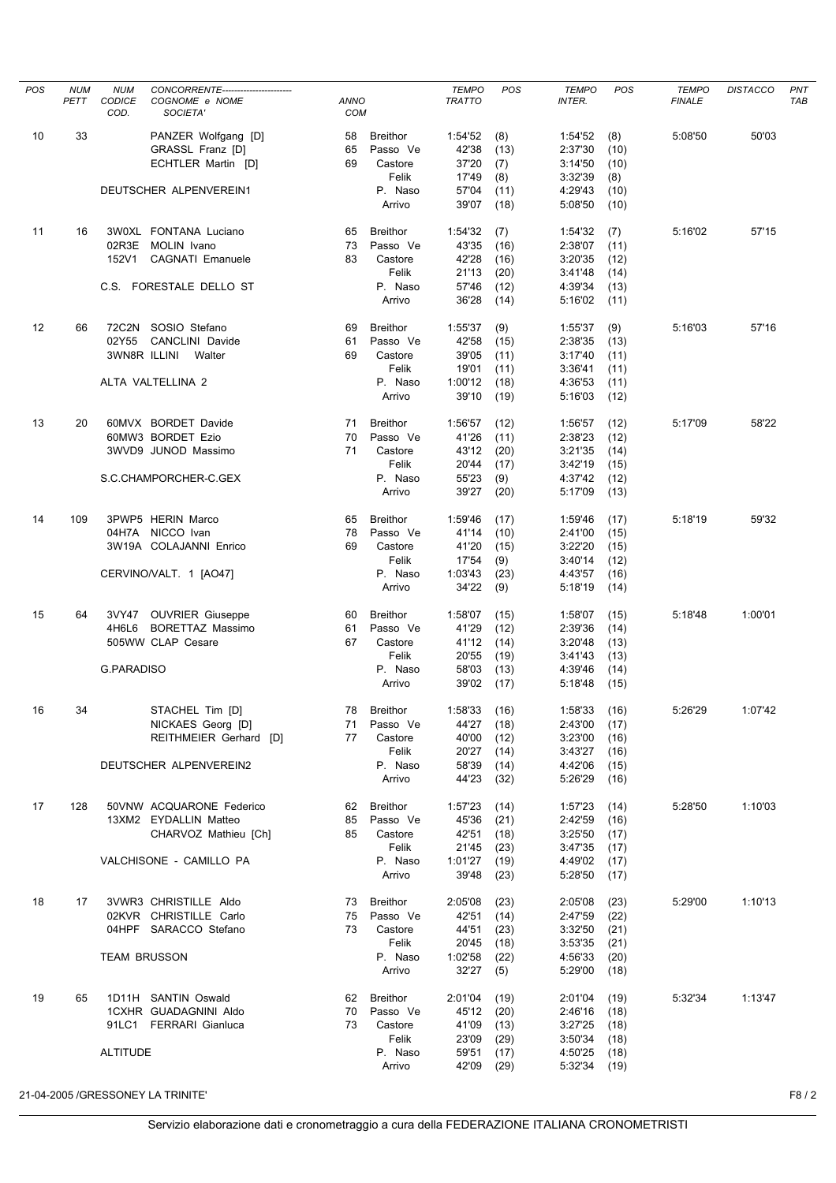| POS | <b>NUM</b> | <b>NUM</b>          | CONCORRENTE----------------------- |             |                 | <b>TEMPO</b>  | POS  | <b>TEMPO</b>  | POS  | <b>TEMPO</b>  | <b>DISTACCO</b> | PNT        |
|-----|------------|---------------------|------------------------------------|-------------|-----------------|---------------|------|---------------|------|---------------|-----------------|------------|
|     | PETT       | CODICE              | COGNOME e NOME                     | <b>ANNO</b> |                 | <b>TRATTO</b> |      | <b>INTER.</b> |      | <b>FINALE</b> |                 | <b>TAB</b> |
|     |            | COD.                | SOCIETA'                           | <b>COM</b>  |                 |               |      |               |      |               |                 |            |
|     |            |                     |                                    |             |                 |               |      |               |      |               |                 |            |
| 10  | 33         |                     | PANZER Wolfgang [D]                | 58          | <b>Breithor</b> | 1:54'52       | (8)  | 1:54'52       | (8)  | 5:08'50       | 50'03           |            |
|     |            |                     | GRASSL Franz [D]                   | 65          | Passo Ve        | 42'38         | (13) | 2:37'30       | (10) |               |                 |            |
|     |            |                     | ECHTLER Martin [D]                 | 69          | Castore         | 37'20         | (7)  | 3:14'50       | (10) |               |                 |            |
|     |            |                     |                                    |             | Felik           | 17'49         | (8)  | 3:32'39       | (8)  |               |                 |            |
|     |            |                     | DEUTSCHER ALPENVEREIN1             |             | P. Naso         | 57'04         | (11) | 4:29'43       | (10) |               |                 |            |
|     |            |                     |                                    |             | Arrivo          | 39'07         | (18) | 5:08'50       | (10) |               |                 |            |
|     |            |                     |                                    |             |                 |               |      |               |      |               |                 |            |
| 11  | 16         |                     | 3W0XL FONTANA Luciano              | 65          | <b>Breithor</b> | 1:54'32       | (7)  | 1:54'32       | (7)  | 5:16'02       | 57'15           |            |
|     |            |                     |                                    |             |                 |               |      |               |      |               |                 |            |
|     |            |                     | 02R3E MOLIN Ivano                  | 73          | Passo Ve        | 43'35         | (16) | 2:38'07       | (11) |               |                 |            |
|     |            | 152V1               | CAGNATI Emanuele                   | 83          | Castore         | 42'28         | (16) | 3:20'35       | (12) |               |                 |            |
|     |            |                     |                                    |             | Felik           | 21'13         | (20) | 3:41'48       | (14) |               |                 |            |
|     |            |                     | C.S. FORESTALE DELLO ST            |             | P. Naso         | 57'46         | (12) | 4:39'34       | (13) |               |                 |            |
|     |            |                     |                                    |             | Arrivo          | 36'28         | (14) | 5:16'02       | (11) |               |                 |            |
|     |            |                     |                                    |             |                 |               |      |               |      |               |                 |            |
| 12  | 66         |                     | 72C2N SOSIO Stefano                | 69          | <b>Breithor</b> | 1:55'37       | (9)  | 1:55'37       | (9)  | 5:16'03       | 57'16           |            |
|     |            | 02Y55               | CANCLINI Davide                    | 61          | Passo Ve        | 42'58         | (15) | 2:38'35       | (13) |               |                 |            |
|     |            | 3WN8R ILLINI        | Walter                             | 69          | Castore         | 39'05         | (11) | 3:17'40       | (11) |               |                 |            |
|     |            |                     |                                    |             | Felik           | 19'01         | (11) | 3:36'41       | (11) |               |                 |            |
|     |            |                     | ALTA VALTELLINA 2                  |             |                 |               |      |               |      |               |                 |            |
|     |            |                     |                                    |             | P. Naso         | 1:00'12       | (18) | 4:36'53       | (11) |               |                 |            |
|     |            |                     |                                    |             | Arrivo          | 39'10         | (19) | 5:16'03       | (12) |               |                 |            |
|     |            |                     |                                    |             |                 |               |      |               |      |               |                 |            |
| 13  | 20         |                     | 60MVX BORDET Davide                | 71          | <b>Breithor</b> | 1:56'57       | (12) | 1:56'57       | (12) | 5:17'09       | 58'22           |            |
|     |            |                     | 60MW3 BORDET Ezio                  | 70          | Passo Ve        | 41'26         | (11) | 2:38'23       | (12) |               |                 |            |
|     |            |                     | 3WVD9 JUNOD Massimo                | 71          | Castore         | 43'12         | (20) | 3:21'35       | (14) |               |                 |            |
|     |            |                     |                                    |             | Felik           | 20'44         | (17) | 3:42'19       | (15) |               |                 |            |
|     |            |                     | S.C.CHAMPORCHER-C.GEX              |             | P. Naso         | 55'23         | (9)  | 4:37'42       | (12) |               |                 |            |
|     |            |                     |                                    |             | Arrivo          | 39'27         | (20) | 5:17'09       |      |               |                 |            |
|     |            |                     |                                    |             |                 |               |      |               | (13) |               |                 |            |
|     |            |                     |                                    |             |                 |               |      |               |      |               |                 |            |
| 14  | 109        |                     | 3PWP5 HERIN Marco                  | 65          | <b>Breithor</b> | 1:59'46       | (17) | 1:59'46       | (17) | 5:18'19       | 59'32           |            |
|     |            |                     | 04H7A NICCO Ivan                   | 78          | Passo Ve        | 41'14         | (10) | 2:41'00       | (15) |               |                 |            |
|     |            |                     | 3W19A COLAJANNI Enrico             | 69          | Castore         | 41'20         | (15) | 3:22'20       | (15) |               |                 |            |
|     |            |                     |                                    |             | Felik           | 17'54         | (9)  | 3:40'14       | (12) |               |                 |            |
|     |            |                     | CERVINO/VALT. 1 [AO47]             |             | P. Naso         | 1:03'43       | (23) | 4:43'57       | (16) |               |                 |            |
|     |            |                     |                                    |             | Arrivo          | 34'22         | (9)  | 5:18'19       | (14) |               |                 |            |
|     |            |                     |                                    |             |                 |               |      |               |      |               |                 |            |
| 15  | 64         |                     | 3VY47 OUVRIER Giuseppe             | 60          | <b>Breithor</b> | 1:58'07       | (15) | 1:58'07       | (15) | 5:18'48       | 1:00'01         |            |
|     |            | 4H6L6               | BORETTAZ Massimo                   |             | Passo Ve        | 41'29         | (12) | 2:39'36       |      |               |                 |            |
|     |            |                     |                                    | 61          |                 |               |      |               | (14) |               |                 |            |
|     |            |                     | 505WW CLAP Cesare                  | 67          | Castore         | 41'12         | (14) | 3:20'48       | (13) |               |                 |            |
|     |            |                     |                                    |             | Felik           | 20'55         | (19) | 3:41'43       | (13) |               |                 |            |
|     |            | <b>G.PARADISO</b>   |                                    |             | P. Naso         | 58'03         | (13) | 4:39'46       | (14) |               |                 |            |
|     |            |                     |                                    |             | Arrivo          | 39'02         | (17) | 5:18'48       | (15) |               |                 |            |
|     |            |                     |                                    |             |                 |               |      |               |      |               |                 |            |
| 16  | 34         |                     | STACHEL Tim [D]                    | 78          | Breithor        | 1:58'33       | (16) | 1:58'33       | (16) | 5:26'29       | 1:07'42         |            |
|     |            |                     | NICKAES Georg [D]                  | 71          | Passo Ve        | 44'27         | (18) | 2:43'00       | (17) |               |                 |            |
|     |            |                     | REITHMEIER Gerhard [D]             | 77          | Castore         | 40'00         | (12) | 3:23'00       | (16) |               |                 |            |
|     |            |                     |                                    |             | Felik           | 20'27         | (14) | 3:43'27       | (16) |               |                 |            |
|     |            |                     | DEUTSCHER ALPENVEREIN2             |             | P. Naso         | 58'39         | (14) | 4:42'06       | (15) |               |                 |            |
|     |            |                     |                                    |             |                 |               |      |               |      |               |                 |            |
|     |            |                     |                                    |             | Arrivo          | 44'23         | (32) | 5:26'29       | (16) |               |                 |            |
|     |            |                     |                                    |             |                 |               |      |               |      |               |                 |            |
| 17  | 128        |                     | 50VNW ACQUARONE Federico           | 62          | Breithor        | 1:57'23       | (14) | 1:57'23       | (14) | 5:28'50       | 1:10'03         |            |
|     |            |                     | 13XM2 EYDALLIN Matteo              | 85          | Passo Ve        | 45'36         | (21) | 2:42'59       | (16) |               |                 |            |
|     |            |                     | CHARVOZ Mathieu [Ch]               | 85          | Castore         | 42'51         | (18) | 3:25'50       | (17) |               |                 |            |
|     |            |                     |                                    |             | Felik           | 21'45         | (23) | 3:47'35       | (17) |               |                 |            |
|     |            |                     | VALCHISONE - CAMILLO PA            |             | P. Naso         | 1:01'27       | (19) | 4:49'02       | (17) |               |                 |            |
|     |            |                     |                                    |             | Arrivo          | 39'48         | (23) | 5:28'50       | (17) |               |                 |            |
|     |            |                     |                                    |             |                 |               |      |               |      |               |                 |            |
| 18  | 17         |                     | 3VWR3 CHRISTILLE Aldo              | 73          | <b>Breithor</b> | 2:05'08       | (23) | 2:05'08       | (23) | 5:29'00       | 1:10'13         |            |
|     |            |                     |                                    |             |                 |               |      |               |      |               |                 |            |
|     |            |                     | 02KVR CHRISTILLE Carlo             | 75          | Passo Ve        | 42'51         | (14) | 2:47'59       | (22) |               |                 |            |
|     |            |                     | 04HPF SARACCO Stefano              | 73          | Castore         | 44'51         | (23) | 3:32'50       | (21) |               |                 |            |
|     |            |                     |                                    |             | Felik           | 20'45         | (18) | 3:53'35       | (21) |               |                 |            |
|     |            | <b>TEAM BRUSSON</b> |                                    |             | P. Naso         | 1:02'58       | (22) | 4:56'33       | (20) |               |                 |            |
|     |            |                     |                                    |             | Arrivo          | 32'27         | (5)  | 5:29'00       | (18) |               |                 |            |
|     |            |                     |                                    |             |                 |               |      |               |      |               |                 |            |
| 19  | 65         |                     | 1D11H SANTIN Oswald                | 62          | <b>Breithor</b> | 2:01'04       | (19) | 2:01'04       | (19) | 5:32'34       | 1:13'47         |            |
|     |            |                     | 1CXHR GUADAGNINI Aldo              | 70          | Passo Ve        | 45'12         | (20) | 2:46'16       | (18) |               |                 |            |
|     |            |                     | 91LC1 FERRARI Gianluca             | 73          | Castore         | 41'09         | (13) | 3:27'25       | (18) |               |                 |            |
|     |            |                     |                                    |             | Felik           | 23'09         |      | 3:50'34       |      |               |                 |            |
|     |            |                     |                                    |             |                 |               | (29) |               | (18) |               |                 |            |
|     |            | <b>ALTITUDE</b>     |                                    |             | P. Naso         | 59'51         | (17) | 4:50'25       | (18) |               |                 |            |
|     |            |                     |                                    |             | Arrivo          | 42'09         | (29) | 5:32'34       | (19) |               |                 |            |
|     |            |                     |                                    |             |                 |               |      |               |      |               |                 |            |

21-04-2005 /GRESSONEY LA TRINITE' F8 / 2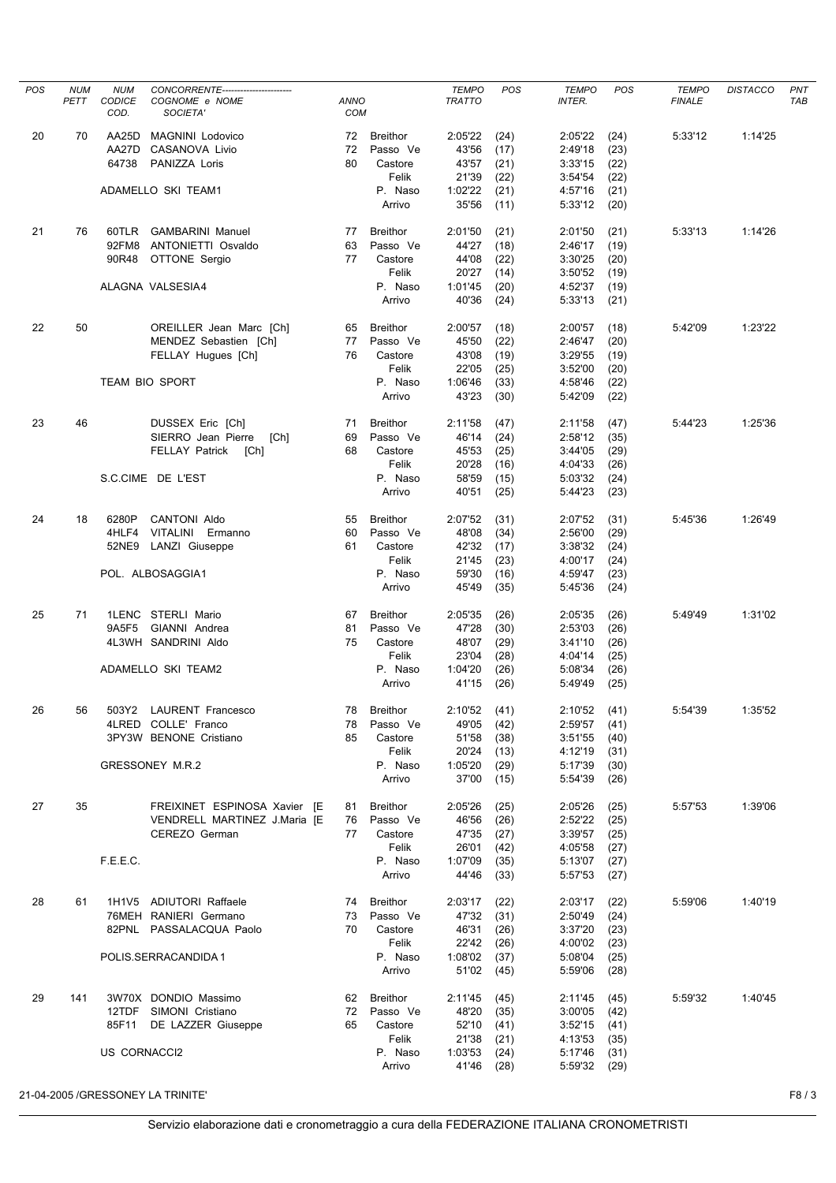| POS | <b>NUM</b> | <b>NUM</b>     | CONCORRENTE-----------------------                           |                    |                      | <b>TEMPO</b>     | POS          | <b>TEMPO</b>       | POS          | <b>TEMPO</b>  | <b>DISTACCO</b> | PNT        |
|-----|------------|----------------|--------------------------------------------------------------|--------------------|----------------------|------------------|--------------|--------------------|--------------|---------------|-----------------|------------|
|     | PETT       | CODICE<br>COD. | COGNOME e NOME<br>SOCIETA'                                   | <b>ANNO</b><br>COM |                      | <b>TRATTO</b>    |              | <b>INTER.</b>      |              | <b>FINALE</b> |                 | <b>TAB</b> |
| 20  | 70         | AA25D          | <b>MAGNINI Lodovico</b>                                      | 72                 | <b>Breithor</b>      | 2:05'22          | (24)         | 2:05'22            | (24)         | 5:33'12       | 1:14'25         |            |
|     |            | AA27D          | CASANOVA Livio                                               | 72                 | Passo Ve             | 43'56            | (17)         | 2:49'18            | (23)         |               |                 |            |
|     |            | 64738          | PANIZZA Loris                                                | 80                 | Castore              | 43'57            | (21)         | 3:33'15            | (22)         |               |                 |            |
|     |            |                |                                                              |                    | Felik                | 21'39            | (22)         | 3:54'54            | (22)         |               |                 |            |
|     |            |                | ADAMELLO SKI TEAM1                                           |                    | P. Naso<br>Arrivo    | 1:02'22<br>35'56 | (21)<br>(11) | 4:57'16<br>5:33'12 | (21)<br>(20) |               |                 |            |
| 21  | 76         | 60TLR          | <b>GAMBARINI Manuel</b>                                      | 77                 | <b>Breithor</b>      | 2:01'50          | (21)         | 2:01'50            | (21)         | 5:33'13       | 1:14'26         |            |
|     |            | 92FM8          | ANTONIETTI Osvaldo                                           | 63                 | Passo Ve             | 44'27            | (18)         | 2:46'17            | (19)         |               |                 |            |
|     |            | 90R48          | OTTONE Sergio                                                | 77                 | Castore              | 44'08            | (22)         | 3:30'25            | (20)         |               |                 |            |
|     |            |                | ALAGNA VALSESIA4                                             |                    | Felik<br>P. Naso     | 20'27            | (14)<br>(20) | 3:50'52<br>4:52'37 | (19)         |               |                 |            |
|     |            |                |                                                              |                    | Arrivo               | 1:01'45<br>40'36 | (24)         | 5:33'13            | (19)<br>(21) |               |                 |            |
| 22  | 50         |                | OREILLER Jean Marc [Ch]                                      | 65                 | <b>Breithor</b>      | 2:00'57          | (18)         | 2:00'57            | (18)         | 5:42'09       | 1:23'22         |            |
|     |            |                | MENDEZ Sebastien [Ch]                                        | 77                 | Passo Ve             | 45'50            | (22)         | 2:46'47            | (20)         |               |                 |            |
|     |            |                | FELLAY Hugues [Ch]                                           | 76                 | Castore              | 43'08            | (19)         | 3:29'55            | (19)         |               |                 |            |
|     |            |                | <b>TEAM BIO SPORT</b>                                        |                    | Felik<br>P. Naso     | 22'05<br>1:06'46 | (25)         | 3:52'00<br>4:58'46 | (20)         |               |                 |            |
|     |            |                |                                                              |                    | Arrivo               | 43'23            | (33)<br>(30) | 5:42'09            | (22)<br>(22) |               |                 |            |
| 23  | 46         |                | DUSSEX Eric [Ch]                                             | 71                 | <b>Breithor</b>      | 2:11'58          | (47)         | 2:11'58            | (47)         | 5:44'23       | 1:25'36         |            |
|     |            |                | SIERRO Jean Pierre<br>[Ch]                                   | 69                 | Passo Ve             | 46'14            | (24)         | 2:58'12            | (35)         |               |                 |            |
|     |            |                | <b>FELLAY Patrick</b><br>[Ch]                                | 68                 | Castore              | 45'53            | (25)         | 3:44'05            | (29)         |               |                 |            |
|     |            |                |                                                              |                    | Felik                | 20'28            | (16)         | 4:04'33            | (26)         |               |                 |            |
|     |            |                | S.C.CIME DE L'EST                                            |                    | P. Naso              | 58'59            | (15)         | 5:03'32            | (24)         |               |                 |            |
|     |            |                |                                                              |                    | Arrivo               | 40'51            | (25)         | 5:44'23            | (23)         |               |                 |            |
| 24  | 18         | 6280P          | <b>CANTONI Aldo</b>                                          | 55                 | <b>Breithor</b>      | 2:07'52          | (31)         | 2:07'52            | (31)         | 5:45'36       | 1:26'49         |            |
|     |            | 4HLF4          | VITALINI Ermanno                                             | 60                 | Passo Ve             | 48'08            | (34)         | 2:56'00            | (29)         |               |                 |            |
|     |            | 52NE9          | LANZI Giuseppe                                               | 61                 | Castore<br>Felik     | 42'32            | (17)         | 3:38'32            | (24)         |               |                 |            |
|     |            |                | POL. ALBOSAGGIA1                                             |                    | P. Naso              | 21'45<br>59'30   | (23)<br>(16) | 4:00'17<br>4:59'47 | (24)<br>(23) |               |                 |            |
|     |            |                |                                                              |                    | Arrivo               | 45'49            | (35)         | 5:45'36            | (24)         |               |                 |            |
| 25  | 71         |                | 1LENC STERLI Mario                                           | 67                 | <b>Breithor</b>      | 2:05'35          | (26)         | 2:05'35            | (26)         | 5:49'49       | 1:31'02         |            |
|     |            | 9A5F5          | GIANNI Andrea                                                | 81                 | Passo Ve             | 47'28            | (30)         | 2:53'03            | (26)         |               |                 |            |
|     |            |                | 4L3WH SANDRINI Aldo                                          | 75                 | Castore              | 48'07            | (29)         | 3:41'10            | (26)         |               |                 |            |
|     |            |                | <b>ADAMELLO SKI TEAM2</b>                                    |                    | Felik<br>P. Naso     | 23'04            | (28)         | 4:04'14<br>5:08'34 | (25)         |               |                 |            |
|     |            |                |                                                              |                    | Arrivo               | 1:04'20<br>41'15 | (26)<br>(26) | 5:49'49            | (26)<br>(25) |               |                 |            |
| 26  | 56         | 503Y2          | <b>LAURENT Francesco</b>                                     | 78                 | <b>Breithor</b>      | 2:10'52          | (41)         | 2:10'52            | (41)         | 5:54'39       | 1:35'52         |            |
|     |            |                | 4LRED COLLE' Franco                                          | 78                 | Passo Ve             | 49'05            | (42)         | 2:59'57            | (41)         |               |                 |            |
|     |            |                | 3PY3W BENONE Cristiano                                       | 85                 | Castore              | 51'58            | (38)         | 3:51'55            | (40)         |               |                 |            |
|     |            |                |                                                              |                    | Felik                | 20'24            | (13)         | 4:12'19            | (31)         |               |                 |            |
|     |            |                | GRESSONEY M.R.2                                              |                    | P. Naso<br>Arrivo    | 1:05'20<br>37'00 | (29)<br>(15) | 5:17'39<br>5:54'39 | (30)<br>(26) |               |                 |            |
|     |            |                |                                                              |                    |                      |                  |              |                    |              |               |                 |            |
| 27  | 35         |                | FREIXINET ESPINOSA Xavier [E<br>VENDRELL MARTINEZ J.Maria [E | 81<br>76           | Breithor<br>Passo Ve | 2:05'26<br>46'56 | (25)<br>(26) | 2:05'26<br>2:52'22 | (25)<br>(25) | 5:57'53       | 1:39'06         |            |
|     |            |                | CEREZO German                                                | 77                 | Castore              | 47'35            | (27)         | 3:39'57            | (25)         |               |                 |            |
|     |            |                |                                                              |                    | Felik                | 26'01            | (42)         | 4:05'58            | (27)         |               |                 |            |
|     |            | F.E.E.C.       |                                                              |                    | P. Naso              | 1:07'09          | (35)         | 5:13'07            | (27)         |               |                 |            |
|     |            |                |                                                              |                    | Arrivo               | 44'46            | (33)         | 5:57'53            | (27)         |               |                 |            |
| 28  | 61         |                | 1H1V5 ADIUTORI Raffaele                                      | 74                 | <b>Breithor</b>      | 2:03'17          | (22)         | 2:03'17            | (22)         | 5:59'06       | 1:40'19         |            |
|     |            |                | 76MEH RANIERI Germano                                        | 73                 | Passo Ve             | 47'32            | (31)         | 2:50'49            | (24)         |               |                 |            |
|     |            |                | 82PNL PASSALACQUA Paolo                                      | 70                 | Castore<br>Felik     | 46'31<br>22'42   | (26)         | 3:37'20            | (23)         |               |                 |            |
|     |            |                | POLIS.SERRACANDIDA 1                                         |                    | P. Naso              | 1:08'02          | (26)<br>(37) | 4:00'02<br>5:08'04 | (23)<br>(25) |               |                 |            |
|     |            |                |                                                              |                    | Arrivo               | 51'02            | (45)         | 5:59'06            | (28)         |               |                 |            |
| 29  | 141        |                | 3W70X DONDIO Massimo                                         | 62                 | <b>Breithor</b>      | 2:11'45          | (45)         | 2:11'45            | (45)         | 5:59'32       | 1:40'45         |            |
|     |            |                | 12TDF SIMONI Cristiano                                       | 72                 | Passo Ve             | 48'20            | (35)         | 3:00'05            | (42)         |               |                 |            |
|     |            |                | 85F11 DE LAZZER Giuseppe                                     | 65                 | Castore              | 52'10            | (41)         | 3:52'15            | (41)         |               |                 |            |
|     |            | US CORNACCI2   |                                                              |                    | Felik<br>P. Naso     | 21'38<br>1:03'53 | (21)<br>(24) | 4:13'53<br>5:17'46 | (35)         |               |                 |            |
|     |            |                |                                                              |                    | Arrivo               | 41'46            | (28)         | 5:59'32            | (31)<br>(29) |               |                 |            |
|     |            |                |                                                              |                    |                      |                  |              |                    |              |               |                 |            |
|     |            |                | 21-04-2005 / GRESSONEY LA TRINITE'                           |                    |                      |                  |              |                    |              |               |                 | F8/3       |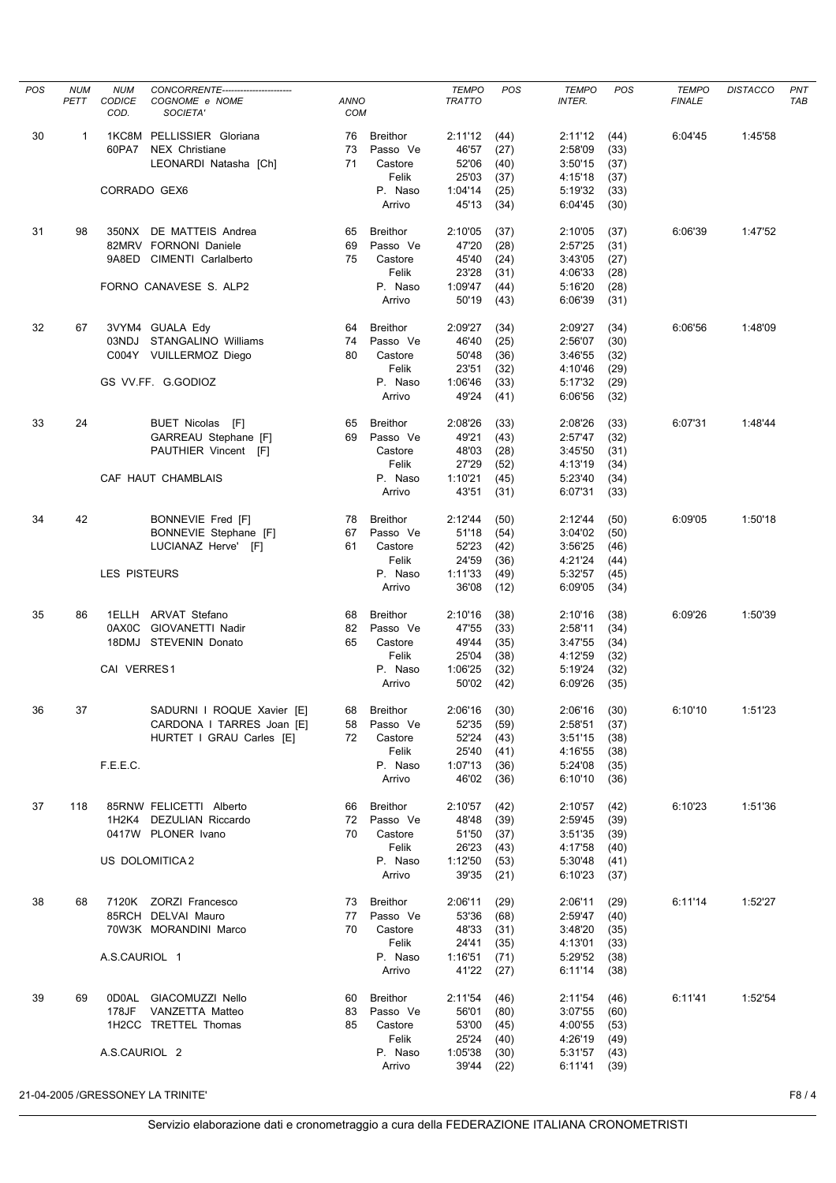| POS | <b>NUM</b> | <b>NUM</b>          | CONCORRENTE----------------------- |                           |                   | <b>TEMPO</b>     | POS          | <b>TEMPO</b>       | POS          | <b>TEMPO</b>  | <b>DISTACCO</b> | PNT        |
|-----|------------|---------------------|------------------------------------|---------------------------|-------------------|------------------|--------------|--------------------|--------------|---------------|-----------------|------------|
|     | PETT       | CODICE<br>COD.      | COGNOME e NOME<br>SOCIETA'         | <b>ANNO</b><br><b>COM</b> |                   | <b>TRATTO</b>    |              | <b>INTER.</b>      |              | <b>FINALE</b> |                 | <b>TAB</b> |
| 30  | 1          |                     | 1KC8M PELLISSIER Gloriana          | 76                        | <b>Breithor</b>   | 2:11'12          | (44)         | 2:11'12            | (44)         | 6:04'45       | 1:45'58         |            |
|     |            |                     | 60PA7 NEX Christiane               | 73                        | Passo Ve          | 46'57            | (27)         | 2:58'09            | (33)         |               |                 |            |
|     |            |                     | LEONARDI Natasha [Ch]              | 71                        | Castore           | 52'06            | (40)         | 3:50'15            | (37)         |               |                 |            |
|     |            |                     |                                    |                           | Felik             | 25'03            | (37)         | 4:15'18            | (37)         |               |                 |            |
|     |            | CORRADO GEX6        |                                    |                           | P. Naso<br>Arrivo | 1:04'14<br>45'13 | (25)<br>(34) | 5:19'32<br>6:04'45 | (33)<br>(30) |               |                 |            |
| 31  | 98         |                     | 350NX DE MATTEIS Andrea            | 65                        | <b>Breithor</b>   | 2:10'05          | (37)         | 2:10'05            | (37)         | 6:06'39       | 1:47'52         |            |
|     |            |                     | 82MRV FORNONI Daniele              | 69                        | Passo Ve          | 47'20            | (28)         | 2:57'25            | (31)         |               |                 |            |
|     |            |                     | 9A8ED CIMENTI Carlalberto          | 75                        | Castore           | 45'40            | (24)         | 3:43'05            | (27)         |               |                 |            |
|     |            |                     |                                    |                           | Felik             | 23'28            | (31)         | 4:06'33            | (28)         |               |                 |            |
|     |            |                     | FORNO CANAVESE S. ALP2             |                           | P. Naso<br>Arrivo | 1:09'47<br>50'19 | (44)<br>(43) | 5:16'20<br>6:06'39 | (28)<br>(31) |               |                 |            |
| 32  | 67         |                     | 3VYM4 GUALA Edy                    | 64                        | <b>Breithor</b>   | 2:09'27          | (34)         | 2:09'27            | (34)         | 6:06'56       | 1:48'09         |            |
|     |            |                     | 03NDJ STANGALINO Williams          | 74                        | Passo Ve          | 46'40            | (25)         | 2:56'07            | (30)         |               |                 |            |
|     |            |                     | C004Y VUILLERMOZ Diego             | 80                        | Castore           | 50'48            | (36)         | 3:46'55            | (32)         |               |                 |            |
|     |            |                     |                                    |                           | Felik             | 23'51            | (32)         | 4:10'46            | (29)         |               |                 |            |
|     |            |                     | GS VV.FF. G.GODIOZ                 |                           | P. Naso           | 1:06'46          | (33)         | 5:17'32            | (29)         |               |                 |            |
|     |            |                     |                                    |                           | Arrivo            | 49'24            | (41)         | 6:06'56            | (32)         |               |                 |            |
| 33  | 24         |                     | BUET Nicolas [F]                   | 65                        | <b>Breithor</b>   | 2:08'26          | (33)         | 2:08'26            | (33)         | 6:07'31       | 1:48'44         |            |
|     |            |                     | GARREAU Stephane [F]               | 69                        | Passo Ve          | 49'21            | (43)         | 2:57'47            | (32)         |               |                 |            |
|     |            |                     | PAUTHIER Vincent [F]               |                           | Castore<br>Felik  | 48'03<br>27'29   | (28)<br>(52) | 3:45'50<br>4:13'19 | (31)<br>(34) |               |                 |            |
|     |            |                     | CAF HAUT CHAMBLAIS                 |                           | P. Naso           | 1:10'21          | (45)         | 5:23'40            | (34)         |               |                 |            |
|     |            |                     |                                    |                           | Arrivo            | 43'51            | (31)         | 6:07'31            | (33)         |               |                 |            |
| 34  | 42         |                     | BONNEVIE Fred [F]                  | 78                        | <b>Breithor</b>   | 2:12'44          | (50)         | 2:12'44            | (50)         | 6:09'05       | 1:50'18         |            |
|     |            |                     | BONNEVIE Stephane [F]              | 67                        | Passo Ve          | 51'18            | (54)         | 3:04'02            | (50)         |               |                 |            |
|     |            |                     | LUCIANAZ Herve' [F]                | 61                        | Castore           | 52'23            | (42)         | 3:56'25            | (46)         |               |                 |            |
|     |            | <b>LES PISTEURS</b> |                                    |                           | Felik<br>P. Naso  | 24'59<br>1:11'33 | (36)<br>(49) | 4:21'24<br>5:32'57 | (44)         |               |                 |            |
|     |            |                     |                                    |                           | Arrivo            | 36'08            | (12)         | 6:09'05            | (45)<br>(34) |               |                 |            |
| 35  | 86         |                     | 1ELLH ARVAT Stefano                | 68                        | <b>Breithor</b>   | 2:10'16          | (38)         | 2:10'16            | (38)         | 6:09'26       | 1:50'39         |            |
|     |            |                     | 0AX0C GIOVANETTI Nadir             | 82                        | Passo Ve          | 47'55            | (33)         | 2:58'11            | (34)         |               |                 |            |
|     |            |                     | 18DMJ STEVENIN Donato              | 65                        | Castore           | 49'44            | (35)         | 3:47'55            | (34)         |               |                 |            |
|     |            | CAI VERRES1         |                                    |                           | Felik<br>P. Naso  | 25'04<br>1:06'25 | (38)<br>(32) | 4:12'59<br>5:19'24 | (32)<br>(32) |               |                 |            |
|     |            |                     |                                    |                           | Arrivo            | 50'02            | (42)         | 6:09'26            | (35)         |               |                 |            |
| 36  | 37         |                     | SADURNI I ROQUE Xavier [E]         | 68                        | Breithor          | 2:06'16          | (30)         | 2:06'16            | (30)         | 6:10'10       | 1:51'23         |            |
|     |            |                     | CARDONA I TARRES Joan [E]          | 58                        | Passo Ve          | 52'35            | (59)         | 2:58'51            | (37)         |               |                 |            |
|     |            |                     | HURTET I GRAU Carles [E]           | 72                        | Castore           | 52'24            | (43)         | 3:51'15            | (38)         |               |                 |            |
|     |            | F.E.E.C.            |                                    |                           | Felik<br>P. Naso  | 25'40<br>1:07'13 | (41)<br>(36) | 4:16'55<br>5:24'08 | (38)<br>(35) |               |                 |            |
|     |            |                     |                                    |                           | Arrivo            | 46'02            | (36)         | 6:10'10            | (36)         |               |                 |            |
| 37  | 118        |                     | 85RNW FELICETTI Alberto            | 66                        | Breithor          | 2:10'57          | (42)         | 2:10'57            | (42)         | 6:10'23       | 1:51'36         |            |
|     |            |                     | 1H2K4 DEZULIAN Riccardo            | 72                        | Passo Ve          | 48'48            | (39)         | 2:59'45            | (39)         |               |                 |            |
|     |            |                     | 0417W PLONER Ivano                 | 70                        | Castore           | 51'50            | (37)         | 3:51'35            | (39)         |               |                 |            |
|     |            |                     |                                    |                           | Felik             | 26'23            | (43)         | 4:17'58            | (40)         |               |                 |            |
|     |            |                     | US DOLOMITICA 2                    |                           | P. Naso<br>Arrivo | 1:12'50<br>39'35 | (53)<br>(21) | 5:30'48<br>6:10'23 | (41)<br>(37) |               |                 |            |
| 38  | 68         |                     | 7120K ZORZI Francesco              | 73                        | <b>Breithor</b>   | 2:06'11          | (29)         | 2:06'11            | (29)         | 6:11'14       | 1:52'27         |            |
|     |            |                     | 85RCH DELVAI Mauro                 | 77                        | Passo Ve          | 53'36            | (68)         | 2:59'47            | (40)         |               |                 |            |
|     |            |                     | 70W3K MORANDINI Marco              | 70                        | Castore           | 48'33            | (31)         | 3:48'20            | (35)         |               |                 |            |
|     |            |                     |                                    |                           | Felik             | 24'41            | (35)         | 4:13'01            | (33)         |               |                 |            |
|     |            | A.S.CAURIOL 1       |                                    |                           | P. Naso<br>Arrivo | 1:16'51<br>41'22 | (71)<br>(27) | 5:29'52<br>6:11'14 | (38)<br>(38) |               |                 |            |
| 39  | 69         |                     | 0D0AL GIACOMUZZI Nello             | 60                        | <b>Breithor</b>   | 2:11'54          | (46)         | 2:11'54            | (46)         | 6:11'41       | 1:52'54         |            |
|     |            | 178JF               | VANZETTA Matteo                    | 83                        | Passo Ve          | 56'01            | (80)         | 3:07'55            | (60)         |               |                 |            |
|     |            |                     | 1H2CC TRETTEL Thomas               | 85                        | Castore           | 53'00            | (45)         | 4:00'55            | (53)         |               |                 |            |
|     |            |                     |                                    |                           | Felik             | 25'24            | (40)         | 4:26'19            | (49)         |               |                 |            |
|     |            | A.S.CAURIOL 2       |                                    |                           | P. Naso<br>Arrivo | 1:05'38<br>39'44 | (30)<br>(22) | 5:31'57<br>6:11'41 | (43)<br>(39) |               |                 |            |
|     |            |                     | 21-04-2005 /GRESSONEY LA TRINITE'  |                           |                   |                  |              |                    |              |               |                 | F8/4       |
|     |            |                     |                                    |                           |                   |                  |              |                    |              |               |                 |            |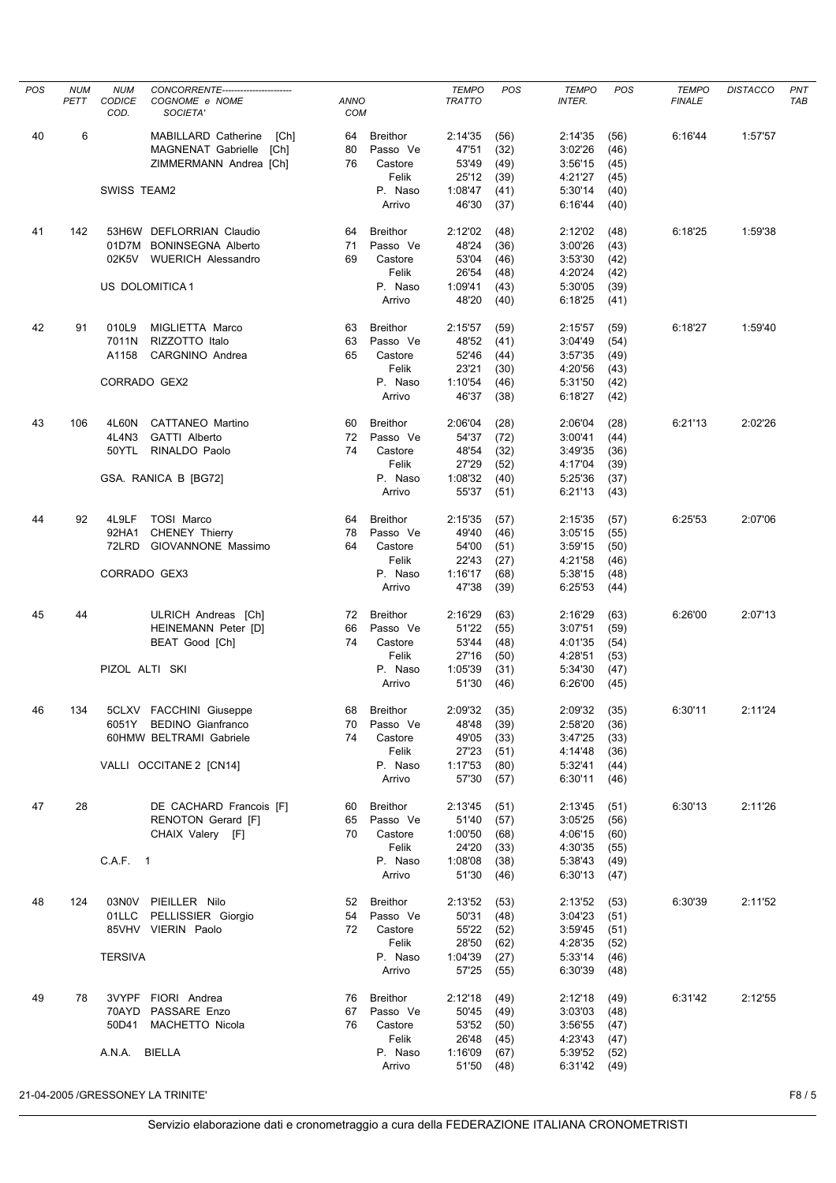| POS | <b>NUM</b><br>PETT | <b>NUM</b><br><b>CODICE</b> | CONCORRENTE------------------------<br>COGNOME e NOME | <b>ANNO</b> |                             | <b>TEMPO</b><br><b>TRATTO</b> | POS          | <b>TEMPO</b><br><b>INTER.</b> | POS          | <b>TEMPO</b><br><b>FINALE</b> | <b>DISTACCO</b> | <b>PNT</b><br><b>TAB</b> |
|-----|--------------------|-----------------------------|-------------------------------------------------------|-------------|-----------------------------|-------------------------------|--------------|-------------------------------|--------------|-------------------------------|-----------------|--------------------------|
|     |                    | COD.                        | SOCIETA'                                              | COM         |                             |                               |              |                               |              |                               |                 |                          |
| 40  | 6                  |                             | MABILLARD Catherine<br>[Ch]                           | 64          | <b>Breithor</b>             | 2:14'35                       | (56)         | 2:14'35                       | (56)         | 6:16'44                       | 1:57'57         |                          |
|     |                    |                             | MAGNENAT Gabrielle<br>[Ch]                            | 80          | Passo Ve                    | 47'51                         | (32)         | 3:02'26                       | (46)         |                               |                 |                          |
|     |                    |                             | ZIMMERMANN Andrea [Ch]                                | 76          | Castore                     | 53'49                         | (49)         | 3:56'15                       | (45)         |                               |                 |                          |
|     |                    |                             |                                                       |             | Felik                       | 25'12                         | (39)         | 4:21'27                       | (45)         |                               |                 |                          |
|     |                    | SWISS TEAM2                 |                                                       |             | P. Naso                     | 1:08'47                       | (41)         | 5:30'14                       | (40)         |                               |                 |                          |
|     |                    |                             |                                                       |             | Arrivo                      | 46'30                         | (37)         | 6:16'44                       | (40)         |                               |                 |                          |
| 41  | 142                |                             | 53H6W DEFLORRIAN Claudio                              | 64          | <b>Breithor</b>             | 2:12'02                       | (48)         | 2:12'02                       | (48)         | 6:18'25                       | 1:59'38         |                          |
|     |                    |                             | 01D7M BONINSEGNA Alberto                              | 71          | Passo Ve                    | 48'24                         | (36)         | 3:00'26                       | (43)         |                               |                 |                          |
|     |                    | 02K5V                       | <b>WUERICH Alessandro</b>                             | 69          | Castore                     | 53'04                         | (46)         | 3:53'30                       | (42)         |                               |                 |                          |
|     |                    |                             |                                                       |             | Felik                       | 26'54                         | (48)         | 4:20'24                       | (42)         |                               |                 |                          |
|     |                    |                             | US DOLOMITICA1                                        |             | P. Naso<br>Arrivo           | 1:09'41<br>48'20              | (43)<br>(40) | 5:30'05<br>6:18'25            | (39)<br>(41) |                               |                 |                          |
|     |                    |                             |                                                       |             |                             |                               |              |                               |              |                               |                 |                          |
| 42  | 91                 | 010L9                       | MIGLIETTA Marco                                       | 63          | <b>Breithor</b>             | 2:15'57                       | (59)         | 2:15'57                       | (59)         | 6:18'27                       | 1:59'40         |                          |
|     |                    | 7011N                       | RIZZOTTO Italo                                        | 63          | Passo Ve                    | 48'52                         | (41)         | 3:04'49                       | (54)         |                               |                 |                          |
|     |                    | A1158                       | CARGNINO Andrea                                       | 65          | Castore                     | 52'46                         | (44)         | 3:57'35                       | (49)         |                               |                 |                          |
|     |                    |                             |                                                       |             | Felik                       | 23'21                         | (30)         | 4:20'56                       | (43)         |                               |                 |                          |
|     |                    | CORRADO GEX2                |                                                       |             | P. Naso                     | 1:10'54                       | (46)         | 5:31'50                       | (42)         |                               |                 |                          |
|     |                    |                             |                                                       |             | Arrivo                      | 46'37                         | (38)         | 6:18'27                       | (42)         |                               |                 |                          |
| 43  | 106                | 4L60N                       | CATTANEO Martino                                      | 60          | <b>Breithor</b>             | 2:06'04                       | (28)         | 2:06'04                       | (28)         | 6:21'13                       | 2:02'26         |                          |
|     |                    | 4L4N3                       | GATTI Alberto                                         | 72          | Passo Ve                    | 54'37                         | (72)         | 3:00'41                       | (44)         |                               |                 |                          |
|     |                    | 50YTL                       | RINALDO Paolo                                         | 74          | Castore                     | 48'54                         | (32)         | 3:49'35                       | (36)         |                               |                 |                          |
|     |                    |                             |                                                       |             | Felik                       | 27'29                         | (52)         | 4:17'04                       | (39)         |                               |                 |                          |
|     |                    |                             | GSA. RANICA B [BG72]                                  |             | P. Naso                     | 1:08'32                       | (40)         | 5:25'36                       | (37)         |                               |                 |                          |
|     |                    |                             |                                                       |             | Arrivo                      | 55'37                         | (51)         | 6:21'13                       | (43)         |                               |                 |                          |
| 44  | 92                 | 4L9LF                       | <b>TOSI Marco</b>                                     | 64          | <b>Breithor</b>             | 2:15'35                       | (57)         | 2:15'35                       | (57)         | 6:25'53                       | 2:07'06         |                          |
|     |                    | 92HA1                       | <b>CHENEY Thierry</b>                                 | 78          | Passo Ve                    | 49'40                         | (46)         | 3:05'15                       | (55)         |                               |                 |                          |
|     |                    | 72LRD                       | GIOVANNONE Massimo                                    | 64          | Castore                     | 54'00                         | (51)         | 3:59'15                       | (50)         |                               |                 |                          |
|     |                    |                             |                                                       |             | Felik                       | 22'43                         | (27)         | 4:21'58                       | (46)         |                               |                 |                          |
|     |                    | CORRADO GEX3                |                                                       |             | P. Naso<br>Arrivo           | 1:16'17<br>47'38              | (68)<br>(39) | 5:38'15<br>6:25'53            | (48)<br>(44) |                               |                 |                          |
|     |                    |                             |                                                       |             |                             |                               |              |                               |              |                               |                 |                          |
| 45  | 44                 |                             | ULRICH Andreas [Ch]                                   | 72<br>66    | <b>Breithor</b><br>Passo Ve | 2:16'29<br>51'22              | (63)         | 2:16'29<br>3:07'51            | (63)         | 6:26'00                       | 2:07'13         |                          |
|     |                    |                             | HEINEMANN Peter [D]<br>BEAT Good [Ch]                 | 74          | Castore                     | 53'44                         | (55)<br>(48) | 4:01'35                       | (59)         |                               |                 |                          |
|     |                    |                             |                                                       |             | Felik                       | 27'16                         | (50)         | 4:28'51                       | (54)<br>(53) |                               |                 |                          |
|     |                    | PIZOL ALTI SKI              |                                                       |             | P. Naso                     | 1:05'39                       | (31)         | 5:34'30                       | (47)         |                               |                 |                          |
|     |                    |                             |                                                       |             | Arrivo                      | 51'30                         | (46)         | 6:26'00                       | (45)         |                               |                 |                          |
| 46  |                    |                             | 5CLXV FACCHINI Giuseppe                               |             |                             |                               |              |                               |              |                               | 2:11'24         |                          |
|     | 134                |                             | 6051Y BEDINO Gianfranco                               | 68<br>70    | Breithor<br>Passo Ve        | 2:09'32<br>48'48              | (35)<br>(39) | 2:09'32<br>2:58'20            | (35)<br>(36) | 6:30'11                       |                 |                          |
|     |                    |                             | 60HMW BELTRAMI Gabriele                               | 74          | Castore                     | 49'05                         | (33)         | 3:47'25                       | (33)         |                               |                 |                          |
|     |                    |                             |                                                       |             | Felik                       | 27'23                         | (51)         | 4:14'48                       | (36)         |                               |                 |                          |
|     |                    |                             | VALLI OCCITANE 2 [CN14]                               |             | P. Naso                     | 1:17'53                       | (80)         | 5:32'41                       | (44)         |                               |                 |                          |
|     |                    |                             |                                                       |             | Arrivo                      | 57'30                         | (57)         | 6:30'11                       | (46)         |                               |                 |                          |
| 47  | 28                 |                             | DE CACHARD Francois [F]                               | 60          | Breithor                    | 2:13'45                       | (51)         | 2:13'45                       | (51)         | 6:30'13                       | 2:11'26         |                          |
|     |                    |                             | RENOTON Gerard [F]                                    | 65          | Passo Ve                    | 51'40                         | (57)         | 3:05'25                       | (56)         |                               |                 |                          |
|     |                    |                             | CHAIX Valery [F]                                      | 70          | Castore                     | 1:00'50                       | (68)         | 4:06'15                       | (60)         |                               |                 |                          |
|     |                    |                             |                                                       |             | Felik                       | 24'20                         | (33)         | 4:30'35                       | (55)         |                               |                 |                          |
|     |                    | C.A.F. 1                    |                                                       |             | P. Naso                     | 1:08'08                       | (38)         | 5:38'43                       | (49)         |                               |                 |                          |
|     |                    |                             |                                                       |             | Arrivo                      | 51'30                         | (46)         | 6:30'13                       | (47)         |                               |                 |                          |
| 48  | 124                |                             | 03N0V PIEILLER Nilo                                   | 52          | <b>Breithor</b>             | 2:13'52                       | (53)         | 2:13'52                       | (53)         | 6:30'39                       | 2:11'52         |                          |
|     |                    |                             | 01LLC PELLISSIER Giorgio                              | 54          | Passo Ve                    | 50'31                         | (48)         | 3:04'23                       | (51)         |                               |                 |                          |
|     |                    |                             | 85VHV VIERIN Paolo                                    | 72          | Castore                     | 55'22                         | (52)         | 3:59'45                       | (51)         |                               |                 |                          |
|     |                    |                             |                                                       |             | Felik                       | 28'50                         | (62)         | 4:28'35                       | (52)         |                               |                 |                          |
|     |                    | <b>TERSIVA</b>              |                                                       |             | P. Naso                     | 1:04'39                       | (27)         | 5:33'14                       | (46)         |                               |                 |                          |
|     |                    |                             |                                                       |             | Arrivo                      | 57'25                         | (55)         | 6:30'39                       | (48)         |                               |                 |                          |
| 49  | 78                 |                             | 3VYPF FIORI Andrea                                    | 76          | <b>Breithor</b>             | 2:12'18                       | (49)         | 2:12'18                       | (49)         | 6:31'42                       | 2:12'55         |                          |
|     |                    |                             | 70AYD PASSARE Enzo                                    | 67          | Passo Ve                    | 50'45                         | (49)         | 3:03'03                       | (48)         |                               |                 |                          |
|     |                    | 50D41                       | MACHETTO Nicola                                       | 76          | Castore                     | 53'52                         | (50)         | 3:56'55                       | (47)         |                               |                 |                          |
|     |                    |                             |                                                       |             | Felik                       | 26'48                         | (45)         | 4:23'43                       | (47)         |                               |                 |                          |
|     |                    | A.N.A. BIELLA               |                                                       |             | P. Naso<br>Arrivo           | 1:16'09<br>51'50              | (67)<br>(48) | 5:39'52<br>6:31'42            | (52)         |                               |                 |                          |
|     |                    |                             |                                                       |             |                             |                               |              |                               | (49)         |                               |                 |                          |
|     |                    |                             | 21-04-2005 /GRESSONEY LA TRINITE'                     |             |                             |                               |              |                               |              |                               |                 | F8/5                     |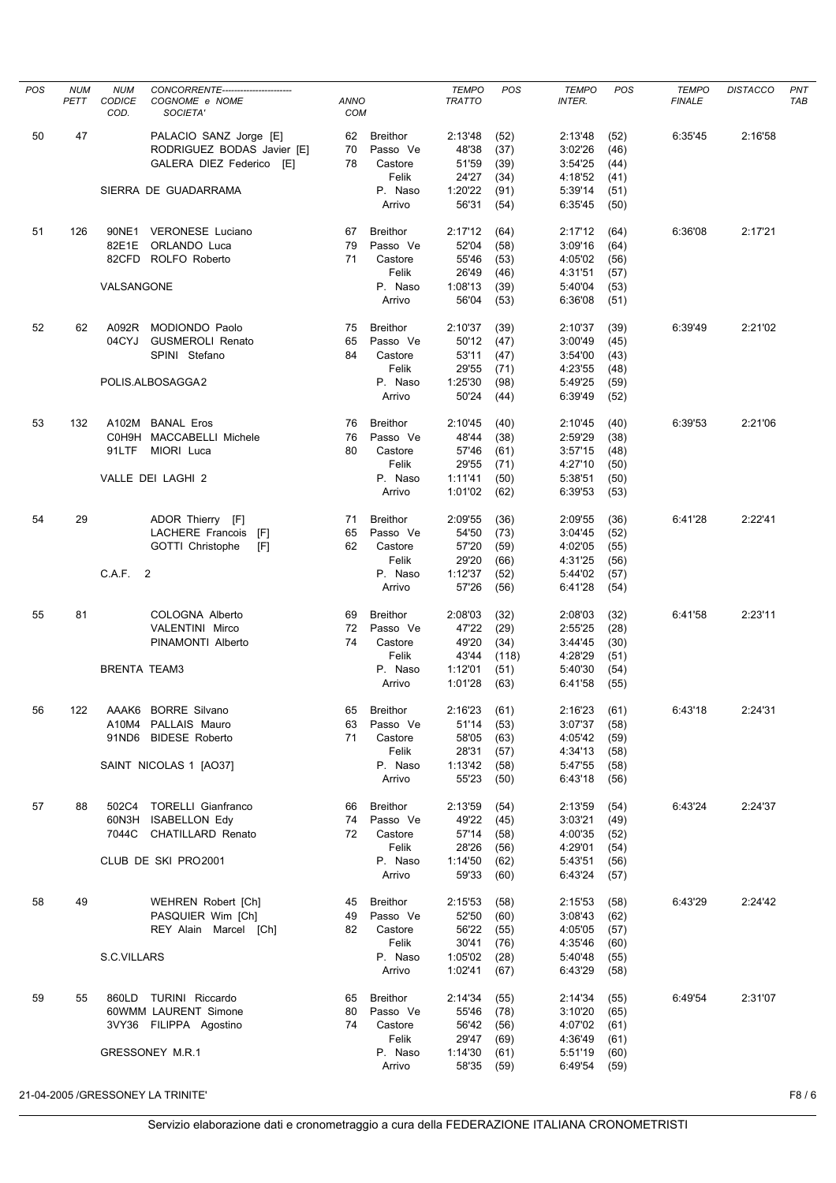| <b>POS</b> | <b>NUM</b> | <b>NUM</b>            | CONCORRENTE--------               |                           |                   | <b>TEMPO</b>       | <b>POS</b>   | <b>TEMPO</b>       | <b>POS</b>   | <b>TEMPO</b>  | <b>DISTACCO</b> | PNT        |
|------------|------------|-----------------------|-----------------------------------|---------------------------|-------------------|--------------------|--------------|--------------------|--------------|---------------|-----------------|------------|
|            | PETT       | <b>CODICE</b><br>COD. | COGNOME e NOME<br>SOCIETA'        | <b>ANNO</b><br><b>COM</b> |                   | <b>TRATTO</b>      |              | <b>INTER.</b>      |              | <b>FINALE</b> |                 | <b>TAB</b> |
| 50         | 47         |                       | PALACIO SANZ Jorge [E]            | 62                        | <b>Breithor</b>   | 2:13'48            | (52)         | 2:13'48            | (52)         | 6:35'45       | 2:16'58         |            |
|            |            |                       | RODRIGUEZ BODAS Javier [E]        | 70                        | Passo Ve          | 48'38              | (37)         | 3:02'26            | (46)         |               |                 |            |
|            |            |                       | GALERA DIEZ Federico<br>- [E]     | 78                        | Castore           | 51'59              | (39)         | 3:54'25            | (44)         |               |                 |            |
|            |            |                       |                                   |                           | Felik             | 24'27              | (34)         | 4:18'52            | (41)         |               |                 |            |
|            |            |                       | SIERRA DE GUADARRAMA              |                           | P. Naso<br>Arrivo | 1:20'22<br>56'31   | (91)<br>(54) | 5:39'14<br>6:35'45 | (51)<br>(50) |               |                 |            |
| 51         | 126        | 90NE1                 | <b>VERONESE Luciano</b>           | 67                        | <b>Breithor</b>   | 2:17'12            | (64)         | 2:17'12            | (64)         | 6:36'08       | 2:17'21         |            |
|            |            | 82E1E                 | ORLANDO Luca                      | 79                        | Passo Ve          | 52'04              | (58)         | 3:09'16            | (64)         |               |                 |            |
|            |            |                       | 82CFD ROLFO Roberto               | 71                        | Castore           | 55'46              | (53)         | 4:05'02            | (56)         |               |                 |            |
|            |            |                       |                                   |                           | Felik             | 26'49              | (46)         | 4:31'51            | (57)         |               |                 |            |
|            |            | VALSANGONE            |                                   |                           | P. Naso<br>Arrivo | 1:08'13<br>56'04   | (39)<br>(53) | 5:40'04<br>6:36'08 | (53)<br>(51) |               |                 |            |
| 52         | 62         |                       | A092R MODIONDO Paolo              | 75                        | <b>Breithor</b>   | 2:10'37            | (39)         | 2:10'37            | (39)         | 6:39'49       | 2:21'02         |            |
|            |            | 04CYJ                 | <b>GUSMEROLI Renato</b>           | 65                        | Passo Ve          | 50'12              | (47)         | 3:00'49            | (45)         |               |                 |            |
|            |            |                       | SPINI Stefano                     | 84                        | Castore           | 53'11              | (47)         | 3:54'00            | (43)         |               |                 |            |
|            |            |                       |                                   |                           | Felik             | 29'55              | (71)         | 4:23'55            | (48)         |               |                 |            |
|            |            |                       | POLIS.ALBOSAGGA2                  |                           | P. Naso           | 1:25'30            | (98)         | 5:49'25            | (59)         |               |                 |            |
|            |            |                       |                                   |                           | Arrivo            | 50'24              | (44)         | 6:39'49            | (52)         |               |                 |            |
| 53         | 132        |                       | A102M BANAL Eros                  | 76                        | <b>Breithor</b>   | 2:10'45            | (40)         | 2:10'45            | (40)         | 6:39'53       | 2:21'06         |            |
|            |            |                       | C0H9H MACCABELLI Michele          | 76                        | Passo Ve          | 48'44              | (38)         | 2:59'29            | (38)         |               |                 |            |
|            |            | 91LTF                 | MIORI Luca                        | 80                        | Castore<br>Felik  | 57'46<br>29'55     | (61)<br>(71) | 3:57'15<br>4:27'10 | (48)         |               |                 |            |
|            |            |                       | VALLE DEI LAGHI 2                 |                           | P. Naso           | 1:11'41            | (50)         | 5:38'51            | (50)<br>(50) |               |                 |            |
|            |            |                       |                                   |                           | Arrivo            | 1:01'02            | (62)         | 6:39'53            | (53)         |               |                 |            |
| 54         | 29         |                       | ADOR Thierry [F]                  | 71                        | <b>Breithor</b>   | 2:09'55            | (36)         | 2:09'55            | (36)         | 6:41'28       | 2:22'41         |            |
|            |            |                       | LACHERE Francois<br>[F]           | 65                        | Passo Ve          | 54'50              | (73)         | 3:04'45            | (52)         |               |                 |            |
|            |            |                       | GOTTI Christophe<br>[F]           | 62                        | Castore           | 57'20              | (59)         | 4:02'05            | (55)         |               |                 |            |
|            |            | C.A.F. 2              |                                   |                           | Felik<br>P. Naso  | 29'20<br>1:12'37   | (66)<br>(52) | 4:31'25<br>5:44'02 | (56)<br>(57) |               |                 |            |
|            |            |                       |                                   |                           | Arrivo            | 57'26              | (56)         | 6:41'28            | (54)         |               |                 |            |
| 55         | 81         |                       | COLOGNA Alberto                   | 69                        | <b>Breithor</b>   | 2:08'03            | (32)         | 2:08'03            | (32)         | 6:41'58       | 2:23'11         |            |
|            |            |                       | VALENTINI Mirco                   | 72                        | Passo Ve          | 47'22              | (29)         | 2:55'25            | (28)         |               |                 |            |
|            |            |                       | PINAMONTI Alberto                 | 74                        | Castore           | 49'20              | (34)         | 3:44'45            | (30)         |               |                 |            |
|            |            | <b>BRENTA TEAM3</b>   |                                   |                           | Felik<br>P. Naso  | 43'44              | (118)        | 4:28'29<br>5:40'30 | (51)         |               |                 |            |
|            |            |                       |                                   |                           | Arrivo            | 1:12'01<br>1:01'28 | (51)<br>(63) | 6:41'58            | (54)<br>(55) |               |                 |            |
| 56         | 122        | AAAK6                 | <b>BORRE Silvano</b>              | 65                        | <b>Breithor</b>   | 2:16'23            | (61)         | 2:16'23            | (61)         | 6:43'18       | 2:24'31         |            |
|            |            |                       | A10M4 PALLAIS Mauro               | 63                        | Passo Ve          | 51'14              | (53)         | 3:07'37            | (58)         |               |                 |            |
|            |            |                       | 91ND6 BIDESE Roberto              | 71                        | Castore           | 58'05              | (63)         | 4:05'42            | (59)         |               |                 |            |
|            |            |                       |                                   |                           | Felik             | 28'31              | (57)         | 4:34'13            | (58)         |               |                 |            |
|            |            |                       | SAINT NICOLAS 1 [AO37]            |                           | P. Naso<br>Arrivo | 1:13'42<br>55'23   | (58)<br>(50) | 5:47'55<br>6:43'18 | (58)<br>(56) |               |                 |            |
| 57         | 88         |                       | 502C4 TORELLI Gianfranco          | 66                        | <b>Breithor</b>   | 2:13'59            | (54)         | 2:13'59            | (54)         | 6:43'24       | 2:24'37         |            |
|            |            |                       | 60N3H ISABELLON Edy               | 74                        | Passo Ve          | 49'22              | (45)         | 3:03'21            | (49)         |               |                 |            |
|            |            |                       | 7044C CHATILLARD Renato           | 72                        | Castore           | 57'14              | (58)         | 4:00'35            | (52)         |               |                 |            |
|            |            |                       |                                   |                           | Felik             | 28'26              | (56)         | 4:29'01            | (54)         |               |                 |            |
|            |            |                       | CLUB DE SKI PRO2001               |                           | P. Naso<br>Arrivo | 1:14'50<br>59'33   | (62)<br>(60) | 5:43'51<br>6:43'24 | (56)<br>(57) |               |                 |            |
| 58         | 49         |                       | WEHREN Robert [Ch]                | 45                        | <b>Breithor</b>   | 2:15'53            | (58)         | 2:15'53            | (58)         | 6:43'29       | 2:24'42         |            |
|            |            |                       | PASQUIER Wim [Ch]                 | 49                        | Passo Ve          | 52'50              | (60)         | 3:08'43            | (62)         |               |                 |            |
|            |            |                       | REY Alain Marcel [Ch]             | 82                        | Castore           | 56'22              | (55)         | 4:05'05            | (57)         |               |                 |            |
|            |            |                       |                                   |                           | Felik             | 30'41              | (76)         | 4:35'46            | (60)         |               |                 |            |
|            |            | S.C.VILLARS           |                                   |                           | P. Naso<br>Arrivo | 1:05'02<br>1:02'41 | (28)<br>(67) | 5:40'48<br>6:43'29 | (55)<br>(58) |               |                 |            |
| 59         | 55         |                       | 860LD TURINI Riccardo             | 65                        | <b>Breithor</b>   | 2:14'34            | (55)         | 2:14'34            | (55)         | 6:49'54       | 2:31'07         |            |
|            |            |                       | 60WMM LAURENT Simone              | 80                        | Passo Ve          | 55'46              | (78)         | 3:10'20            | (65)         |               |                 |            |
|            |            |                       | 3VY36 FILIPPA Agostino            | 74                        | Castore           | 56'42              | (56)         | 4:07'02            | (61)         |               |                 |            |
|            |            |                       |                                   |                           | Felik             | 29'47              | (69)         | 4:36'49            | (61)         |               |                 |            |
|            |            |                       | GRESSONEY M.R.1                   |                           | P. Naso<br>Arrivo | 1:14'30<br>58'35   | (61)<br>(59) | 5:51'19<br>6:49'54 | (60)<br>(59) |               |                 |            |
|            |            |                       |                                   |                           |                   |                    |              |                    |              |               |                 |            |
|            |            |                       | 21-04-2005 /GRESSONEY LA TRINITE' |                           |                   |                    |              |                    |              |               |                 | F8/6       |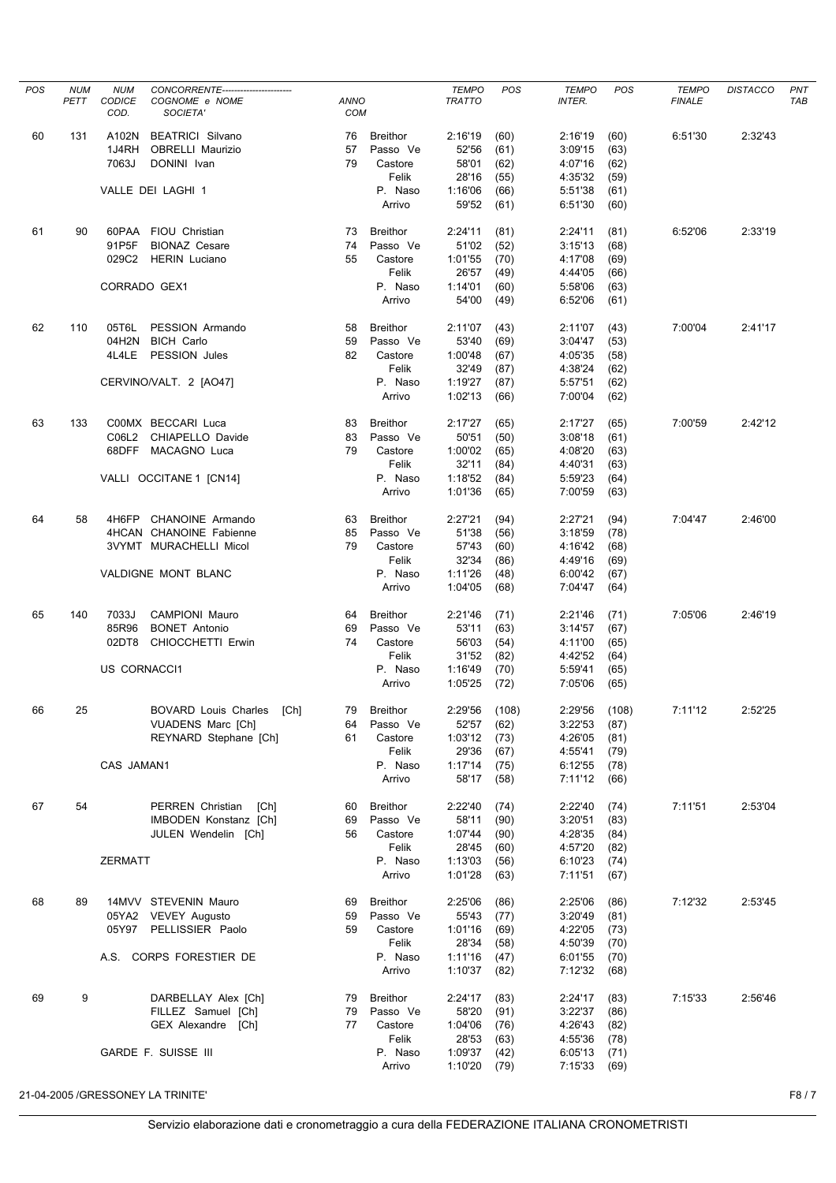| POS | <b>NUM</b> | <b>NUM</b>     | CONCORRENTE-----------------------                |                           |                   | <b>TEMPO</b>       | POS          | <b>TEMPO</b>       | POS          | <b>TEMPO</b>  | <b>DISTACCO</b> | PNT        |
|-----|------------|----------------|---------------------------------------------------|---------------------------|-------------------|--------------------|--------------|--------------------|--------------|---------------|-----------------|------------|
|     | PETT       | CODICE<br>COD. | COGNOME e NOME<br>SOCIETA'                        | <b>ANNO</b><br><b>COM</b> |                   | <b>TRATTO</b>      |              | <b>INTER.</b>      |              | <b>FINALE</b> |                 | <b>TAB</b> |
| 60  | 131        | A102N          | <b>BEATRICI Silvano</b>                           | 76                        | <b>Breithor</b>   | 2:16'19            | (60)         | 2:16'19            | (60)         | 6:51'30       | 2:32'43         |            |
|     |            | 1J4RH          | <b>OBRELLI Maurizio</b>                           | 57                        | Passo Ve          | 52'56              | (61)         | 3:09'15            | (63)         |               |                 |            |
|     |            | 7063J          | DONINI Ivan                                       | 79                        | Castore           | 58'01              | (62)         | 4:07'16            | (62)         |               |                 |            |
|     |            |                |                                                   |                           | Felik             | 28'16              | (55)         | 4:35'32            | (59)         |               |                 |            |
|     |            |                | VALLE DEI LAGHI 1                                 |                           | P. Naso           | 1:16'06            | (66)         | 5:51'38            | (61)         |               |                 |            |
|     |            |                |                                                   |                           | Arrivo            | 59'52              | (61)         | 6:51'30            | (60)         |               |                 |            |
| 61  | 90         |                | 60PAA FIOU Christian                              | 73                        | <b>Breithor</b>   | 2:24'11            | (81)         | 2:24'11            | (81)         | 6:52'06       | 2:33'19         |            |
|     |            | 91P5F          | <b>BIONAZ Cesare</b>                              | 74                        | Passo Ve          | 51'02              | (52)         | 3:15'13            | (68)         |               |                 |            |
|     |            | 029C2          | <b>HERIN Luciano</b>                              | 55                        | Castore<br>Felik  | 1:01'55<br>26'57   | (70)<br>(49) | 4:17'08<br>4:44'05 | (69)         |               |                 |            |
|     |            | CORRADO GEX1   |                                                   |                           | P. Naso           | 1:14'01            | (60)         | 5:58'06            | (66)<br>(63) |               |                 |            |
|     |            |                |                                                   |                           | Arrivo            | 54'00              | (49)         | 6:52'06            | (61)         |               |                 |            |
| 62  | 110        | 05T6L          | PESSION Armando                                   | 58                        | <b>Breithor</b>   | 2:11'07            | (43)         | 2:11'07            | (43)         | 7:00'04       | 2:41'17         |            |
|     |            | 04H2N          | <b>BICH Carlo</b>                                 | 59                        | Passo Ve          | 53'40              | (69)         | 3:04'47            | (53)         |               |                 |            |
|     |            | 4L4LE          | PESSION Jules                                     | 82                        | Castore           | 1:00'48            | (67)         | 4:05'35            | (58)         |               |                 |            |
|     |            |                |                                                   |                           | Felik             | 32'49              | (87)         | 4:38'24            | (62)         |               |                 |            |
|     |            |                | CERVINO/VALT. 2 [AO47]                            |                           | P. Naso           | 1:19'27            | (87)         | 5:57'51            | (62)         |               |                 |            |
|     |            |                |                                                   |                           | Arrivo            | 1:02'13            | (66)         | 7:00'04            | (62)         |               |                 |            |
| 63  | 133        |                | C00MX BECCARI Luca                                | 83                        | <b>Breithor</b>   | 2:17'27            | (65)         | 2:17'27            | (65)         | 7:00'59       | 2:42'12         |            |
|     |            | C06L2          | CHIAPELLO Davide                                  | 83                        | Passo Ve          | 50'51              | (50)         | 3:08'18            | (61)         |               |                 |            |
|     |            |                | 68DFF MACAGNO Luca                                | 79                        | Castore           | 1:00'02            | (65)         | 4:08'20            | (63)         |               |                 |            |
|     |            |                | VALLI OCCITANE 1 [CN14]                           |                           | Felik<br>P. Naso  | 32'11<br>1:18'52   | (84)<br>(84) | 4:40'31<br>5:59'23 | (63)<br>(64) |               |                 |            |
|     |            |                |                                                   |                           | Arrivo            | 1:01'36            | (65)         | 7:00'59            | (63)         |               |                 |            |
|     |            |                |                                                   |                           |                   |                    |              |                    |              |               |                 |            |
| 64  | 58         | 4H6FP          | CHANOINE Armando                                  | 63                        | <b>Breithor</b>   | 2:27'21            | (94)         | 2:27'21            | (94)         | 7:04'47       | 2:46'00         |            |
|     |            |                | 4HCAN CHANOINE Fabienne<br>3VYMT MURACHELLI Micol | 85<br>79                  | Passo Ve          | 51'38<br>57'43     | (56)<br>(60) | 3:18'59<br>4:16'42 | (78)         |               |                 |            |
|     |            |                |                                                   |                           | Castore<br>Felik  | 32'34              | (86)         | 4:49'16            | (68)<br>(69) |               |                 |            |
|     |            |                | VALDIGNE MONT BLANC                               |                           | P. Naso           | 1:11'26            | (48)         | 6:00'42            | (67)         |               |                 |            |
|     |            |                |                                                   |                           | Arrivo            | 1:04'05            | (68)         | 7:04'47            | (64)         |               |                 |            |
| 65  | 140        | 7033J          | <b>CAMPIONI Mauro</b>                             | 64                        | <b>Breithor</b>   | 2:21'46            | (71)         | 2:21'46            | (71)         | 7:05'06       | 2:46'19         |            |
|     |            | 85R96          | <b>BONET Antonio</b>                              | 69                        | Passo Ve          | 53'11              | (63)         | 3:14'57            | (67)         |               |                 |            |
|     |            | 02DT8          | CHIOCCHETTI Erwin                                 | 74                        | Castore<br>Felik  | 56'03<br>31'52     | (54)<br>(82) | 4:11'00<br>4:42'52 | (65)         |               |                 |            |
|     |            | US CORNACCI1   |                                                   |                           | P. Naso           | 1:16'49            | (70)         | 5:59'41            | (64)<br>(65) |               |                 |            |
|     |            |                |                                                   |                           | Arrivo            | 1:05'25            | (72)         | 7:05'06            | (65)         |               |                 |            |
| 66  | 25         |                | <b>BOVARD Louis Charles</b><br>[Ch]               | 79                        | <b>Breithor</b>   | 2:29'56            | (108)        | 2:29'56            | (108)        | 7:11'12       | 2:52'25         |            |
|     |            |                | <b>VUADENS Marc [Ch]</b>                          | 64                        | Passo Ve          | 52'57              | (62)         | 3:22'53            | (87)         |               |                 |            |
|     |            |                | REYNARD Stephane [Ch]                             | 61                        | Castore           | 1:03'12            | (73)         | 4:26'05            | (81)         |               |                 |            |
|     |            |                |                                                   |                           | Felik             | 29'36              | (67)         | 4:55'41            | (79)         |               |                 |            |
|     |            | CAS JAMAN1     |                                                   |                           | P. Naso<br>Arrivo | 1:17'14<br>58'17   | (75)         | 6:12'55<br>7:11'12 | (78)         |               |                 |            |
|     |            |                |                                                   |                           |                   |                    | (58)         |                    | (66)         |               |                 |            |
| 67  | 54         |                | PERREN Christian<br>[Ch]                          | 60                        | <b>Breithor</b>   | 2:22'40            | (74)         | 2:22'40            | (74)         | 7:11'51       | 2:53'04         |            |
|     |            |                | IMBODEN Konstanz [Ch]                             | 69                        | Passo Ve          | 58'11              | (90)         | 3:20'51            | (83)         |               |                 |            |
|     |            |                | JULEN Wendelin [Ch]                               | 56                        | Castore<br>Felik  | 1:07'44<br>28'45   | (90)<br>(60) | 4:28'35<br>4:57'20 | (84)<br>(82) |               |                 |            |
|     |            | <b>ZERMATT</b> |                                                   |                           | P. Naso           | 1:13'03            | (56)         | 6:10'23            | (74)         |               |                 |            |
|     |            |                |                                                   |                           | Arrivo            | 1:01'28            | (63)         | 7:11'51            | (67)         |               |                 |            |
| 68  | 89         |                | 14MVV STEVENIN Mauro                              | 69                        | <b>Breithor</b>   | 2:25'06            | (86)         | 2:25'06            | (86)         | 7:12'32       | 2:53'45         |            |
|     |            |                | 05YA2 VEVEY Augusto                               | 59                        | Passo Ve          | 55'43              | (77)         | 3:20'49            | (81)         |               |                 |            |
|     |            |                | 05Y97 PELLISSIER Paolo                            | 59                        | Castore           | 1:01'16            | (69)         | 4:22'05            | (73)         |               |                 |            |
|     |            |                |                                                   |                           | Felik             | 28'34              | (58)         | 4:50'39            | (70)         |               |                 |            |
|     |            |                | A.S. CORPS FORESTIER DE                           |                           | P. Naso<br>Arrivo | 1:11'16<br>1:10'37 | (47)<br>(82) | 6:01'55<br>7:12'32 | (70)<br>(68) |               |                 |            |
| 69  | 9          |                | DARBELLAY Alex [Ch]                               | 79                        | <b>Breithor</b>   | 2:24'17            | (83)         | 2:24'17            | (83)         | 7:15'33       | 2:56'46         |            |
|     |            |                | FILLEZ Samuel [Ch]                                | 79                        | Passo Ve          | 58'20              | (91)         | 3:22'37            | (86)         |               |                 |            |
|     |            |                | GEX Alexandre [Ch]                                | 77                        | Castore           | 1:04'06            | (76)         | 4:26'43            | (82)         |               |                 |            |
|     |            |                |                                                   |                           | Felik             | 28'53              | (63)         | 4:55'36            | (78)         |               |                 |            |
|     |            |                | GARDE F. SUISSE III                               |                           | P. Naso           | 1:09'37            | (42)         | 6:05'13            | (71)         |               |                 |            |
|     |            |                |                                                   |                           | Arrivo            | 1:10'20            | (79)         | 7:15'33            | (69)         |               |                 |            |
|     |            |                | 21-04-2005 /GRESSONEY LA TRINITE'                 |                           |                   |                    |              |                    |              |               |                 | F8/7       |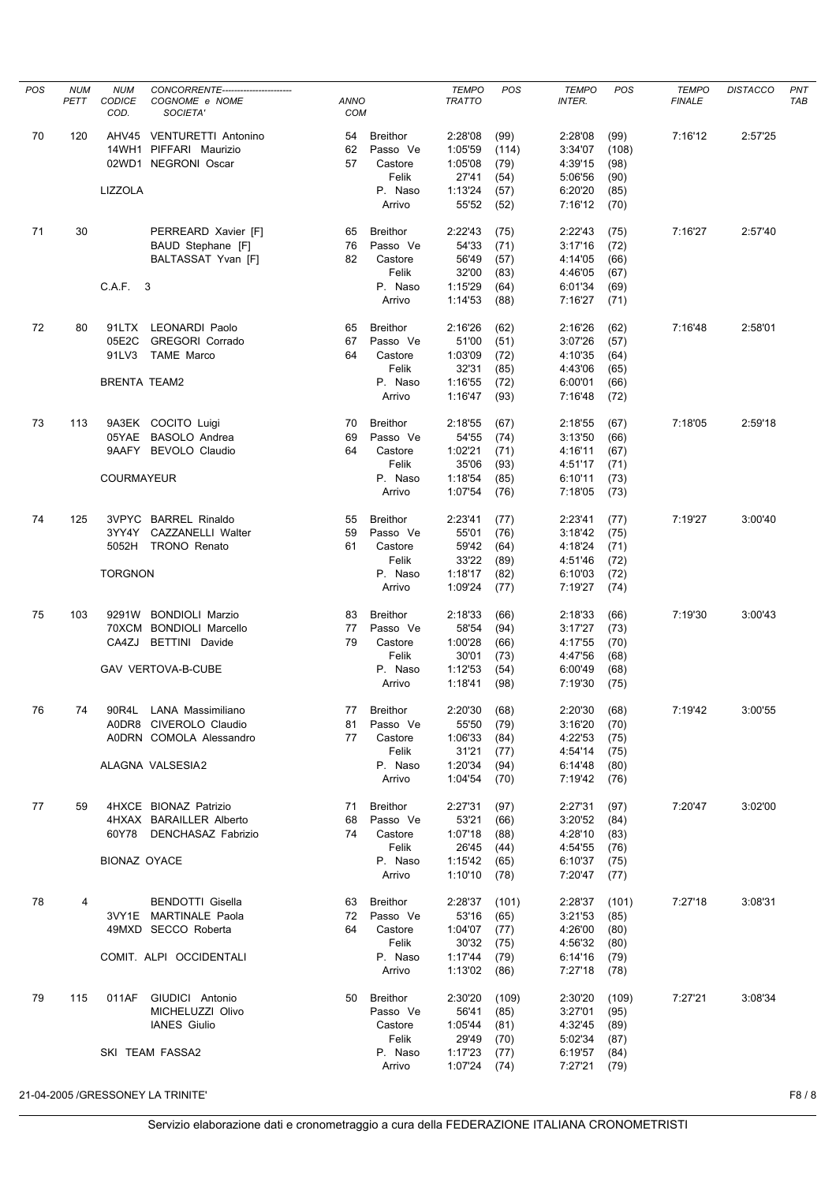| POS | <b>NUM</b><br>PETT | <b>NUM</b><br><b>CODICE</b><br>COD. | CONCORRENTE------------------------<br>COGNOME e NOME<br>SOCIETA' | <b>ANNO</b><br>COM |                             | <b>TEMPO</b><br><b>TRATTO</b> | POS           | <b>TEMPO</b><br><b>INTER.</b> | POS           | <b>TEMPO</b><br><b>FINALE</b> | <b>DISTACCO</b> | PNT<br><b>TAB</b> |
|-----|--------------------|-------------------------------------|-------------------------------------------------------------------|--------------------|-----------------------------|-------------------------------|---------------|-------------------------------|---------------|-------------------------------|-----------------|-------------------|
| 70  | 120                |                                     | AHV45 VENTURETTI Antonino<br>14WH1 PIFFARI Maurizio               | 54<br>62           | <b>Breithor</b><br>Passo Ve | 2:28'08<br>1:05'59            | (99)<br>(114) | 2:28'08<br>3:34'07            | (99)<br>(108) | 7:16'12                       | 2:57'25         |                   |
|     |                    |                                     | 02WD1 NEGRONI Oscar                                               | 57                 | Castore<br>Felik            | 1:05'08<br>27'41              | (79)<br>(54)  | 4:39'15<br>5:06'56            | (98)<br>(90)  |                               |                 |                   |
|     |                    | LIZZOLA                             |                                                                   |                    | P. Naso                     | 1:13'24                       | (57)          | 6:20'20                       | (85)          |                               |                 |                   |
|     |                    |                                     |                                                                   |                    | Arrivo                      | 55'52                         | (52)          | 7:16'12                       | (70)          |                               |                 |                   |
| 71  | 30                 |                                     | PERREARD Xavier [F]                                               | 65                 | <b>Breithor</b>             | 2:22'43                       | (75)          | 2:22'43                       | (75)          | 7:16'27                       | 2:57'40         |                   |
|     |                    |                                     | BAUD Stephane [F]                                                 | 76                 | Passo Ve                    | 54'33                         | (71)          | 3:17'16                       | (72)          |                               |                 |                   |
|     |                    |                                     | BALTASSAT Yvan [F]                                                | 82                 | Castore<br>Felik            | 56'49<br>32'00                | (57)<br>(83)  | 4:14'05<br>4:46'05            | (66)          |                               |                 |                   |
|     |                    | C.A.F. 3                            |                                                                   |                    | P. Naso                     | 1:15'29                       | (64)          | 6:01'34                       | (67)<br>(69)  |                               |                 |                   |
|     |                    |                                     |                                                                   |                    | Arrivo                      | 1:14'53                       | (88)          | 7:16'27                       | (71)          |                               |                 |                   |
| 72  | 80                 |                                     | 91LTX LEONARDI Paolo                                              | 65                 | <b>Breithor</b>             | 2:16'26                       | (62)          | 2:16'26                       | (62)          | 7:16'48                       | 2:58'01         |                   |
|     |                    | 05E2C                               | <b>GREGORI Corrado</b>                                            | 67                 | Passo Ve                    | 51'00                         | (51)          | 3:07'26                       | (57)          |                               |                 |                   |
|     |                    | 91LV3                               | <b>TAME Marco</b>                                                 | 64                 | Castore                     | 1:03'09                       | (72)          | 4:10'35                       | (64)          |                               |                 |                   |
|     |                    | <b>BRENTA TEAM2</b>                 |                                                                   |                    | Felik                       | 32'31<br>1:16'55              | (85)          | 4:43'06<br>6:00'01            | (65)          |                               |                 |                   |
|     |                    |                                     |                                                                   |                    | P. Naso<br>Arrivo           | 1:16'47                       | (72)<br>(93)  | 7:16'48                       | (66)<br>(72)  |                               |                 |                   |
|     |                    |                                     |                                                                   |                    |                             |                               |               |                               |               |                               |                 |                   |
| 73  | 113                |                                     | 9A3EK COCITO Luigi<br>05YAE BASOLO Andrea                         | 70<br>69           | <b>Breithor</b>             | 2:18'55<br>54'55              | (67)          | 2:18'55<br>3:13'50            | (67)          | 7:18'05                       | 2:59'18         |                   |
|     |                    |                                     | 9AAFY BEVOLO Claudio                                              | 64                 | Passo Ve<br>Castore         | 1:02'21                       | (74)<br>(71)  | 4:16'11                       | (66)<br>(67)  |                               |                 |                   |
|     |                    |                                     |                                                                   |                    | Felik                       | 35'06                         | (93)          | 4:51'17                       | (71)          |                               |                 |                   |
|     |                    | <b>COURMAYEUR</b>                   |                                                                   |                    | P. Naso                     | 1:18'54                       | (85)          | 6:10'11                       | (73)          |                               |                 |                   |
|     |                    |                                     |                                                                   |                    | Arrivo                      | 1:07'54                       | (76)          | 7:18'05                       | (73)          |                               |                 |                   |
| 74  | 125                |                                     | <b>3VPYC BARREL Rinaldo</b>                                       | 55                 | <b>Breithor</b>             | 2:23'41                       | (77)          | 2:23'41                       | (77)          | 7:19'27                       | 3:00'40         |                   |
|     |                    |                                     | 3YY4Y CAZZANELLI Walter                                           | 59                 | Passo Ve                    | 55'01                         | (76)          | 3:18'42                       | (75)          |                               |                 |                   |
|     |                    |                                     | 5052H TRONO Renato                                                | 61                 | Castore<br>Felik            | 59'42<br>33'22                | (64)<br>(89)  | 4:18'24<br>4:51'46            | (71)<br>(72)  |                               |                 |                   |
|     |                    | <b>TORGNON</b>                      |                                                                   |                    | P. Naso                     | 1:18'17                       | (82)          | 6:10'03                       | (72)          |                               |                 |                   |
|     |                    |                                     |                                                                   |                    | Arrivo                      | 1:09'24                       | (77)          | 7:19'27                       | (74)          |                               |                 |                   |
| 75  | 103                |                                     | 9291W BONDIOLI Marzio                                             | 83                 | <b>Breithor</b>             | 2:18'33                       | (66)          | 2:18'33                       | (66)          | 7:19'30                       | 3:00'43         |                   |
|     |                    |                                     | 70XCM BONDIOLI Marcello                                           | 77                 | Passo Ve                    | 58'54                         | (94)          | 3:17'27                       | (73)          |                               |                 |                   |
|     |                    | CA4ZJ                               | <b>BETTINI</b> Davide                                             | 79                 | Castore<br>Felik            | 1:00'28<br>30'01              | (66)          | 4:17'55<br>4:47'56            | (70)          |                               |                 |                   |
|     |                    |                                     | <b>GAV VERTOVA-B-CUBE</b>                                         |                    | P. Naso                     | 1:12'53                       | (73)<br>(54)  | 6:00'49                       | (68)<br>(68)  |                               |                 |                   |
|     |                    |                                     |                                                                   |                    | Arrivo                      | 1:18'41                       | (98)          | 7:19'30                       | (75)          |                               |                 |                   |
| 76  | 74                 | 90R4L                               | LANA Massimiliano                                                 | 77                 | <b>Breithor</b>             | 2:20'30                       | (68)          | 2:20'30                       | (68)          | 7:19'42                       | 3:00'55         |                   |
|     |                    |                                     | A0DR8 CIVEROLO Claudio                                            | 81                 | Passo Ve                    | 55'50                         | (79)          | 3:16'20                       | (70)          |                               |                 |                   |
|     |                    |                                     | A0DRN COMOLA Alessandro                                           | 77                 | Castore                     | 1:06'33                       | (84)          | 4:22'53                       | (75)          |                               |                 |                   |
|     |                    |                                     | ALAGNA VALSESIA2                                                  |                    | Felik<br>P. Naso            | 31'21<br>1:20'34              | (77)<br>(94)  | 4:54'14<br>6:14'48            | (75)<br>(80)  |                               |                 |                   |
|     |                    |                                     |                                                                   |                    | Arrivo                      | 1:04'54                       | (70)          | 7:19'42                       | (76)          |                               |                 |                   |
| 77  | 59                 |                                     | 4HXCE BIONAZ Patrizio                                             | 71                 | <b>Breithor</b>             | 2:27'31                       | (97)          | 2:27'31                       | (97)          | 7:20'47                       | 3:02'00         |                   |
|     |                    |                                     | 4HXAX BARAILLER Alberto                                           | 68                 | Passo Ve                    | 53'21                         | (66)          | 3:20'52                       | (84)          |                               |                 |                   |
|     |                    |                                     | 60Y78 DENCHASAZ Fabrizio                                          | 74                 | Castore                     | 1:07'18                       | (88)          | 4:28'10                       | (83)          |                               |                 |                   |
|     |                    | BIONAZ OYACE                        |                                                                   |                    | Felik<br>P. Naso            | 26'45<br>1:15'42              | (44)<br>(65)  | 4:54'55<br>6:10'37            | (76)<br>(75)  |                               |                 |                   |
|     |                    |                                     |                                                                   |                    | Arrivo                      | 1:10'10                       | (78)          | 7:20'47                       | (77)          |                               |                 |                   |
| 78  | 4                  |                                     | <b>BENDOTTI Gisella</b>                                           | 63                 | <b>Breithor</b>             | 2:28'37                       | (101)         | 2:28'37                       | (101)         | 7:27'18                       | 3:08'31         |                   |
|     |                    |                                     | 3VY1E MARTINALE Paola                                             | 72                 | Passo Ve                    | 53'16                         | (65)          | 3:21'53                       | (85)          |                               |                 |                   |
|     |                    |                                     | 49MXD SECCO Roberta                                               | 64                 | Castore                     | 1:04'07                       | (77)          | 4:26'00                       | (80)          |                               |                 |                   |
|     |                    |                                     |                                                                   |                    | Felik                       | 30'32                         | (75)          | 4:56'32                       | (80)          |                               |                 |                   |
|     |                    |                                     | COMIT. ALPI OCCIDENTALI                                           |                    | P. Naso<br>Arrivo           | 1:17'44<br>1:13'02            | (79)<br>(86)  | 6:14'16<br>7:27'18            | (79)<br>(78)  |                               |                 |                   |
|     |                    |                                     |                                                                   |                    |                             |                               |               |                               |               |                               |                 |                   |
| 79  | 115                | 011AF                               | GIUDICI Antonio<br>MICHELUZZI Olivo                               | 50                 | Breithor<br>Passo Ve        | 2:30'20<br>56'41              | (109)<br>(85) | 2:30'20<br>3:27'01            | (109)<br>(95) | 7:27'21                       | 3:08'34         |                   |
|     |                    |                                     | IANES Giulio                                                      |                    | Castore                     | 1:05'44                       | (81)          | 4:32'45                       | (89)          |                               |                 |                   |
|     |                    |                                     |                                                                   |                    | Felik                       | 29'49                         | (70)          | 5:02'34                       | (87)          |                               |                 |                   |
|     |                    |                                     | SKI TEAM FASSA2                                                   |                    | P. Naso<br>Arrivo           | 1:17'23<br>1:07'24            | (77)          | 6:19'57<br>7:27'21            | (84)          |                               |                 |                   |
|     |                    |                                     |                                                                   |                    |                             |                               | (74)          |                               | (79)          |                               |                 |                   |
|     |                    |                                     | 21-04-2005 / GRESSONEY LA TRINITE'                                |                    |                             |                               |               |                               |               |                               |                 | F8/8              |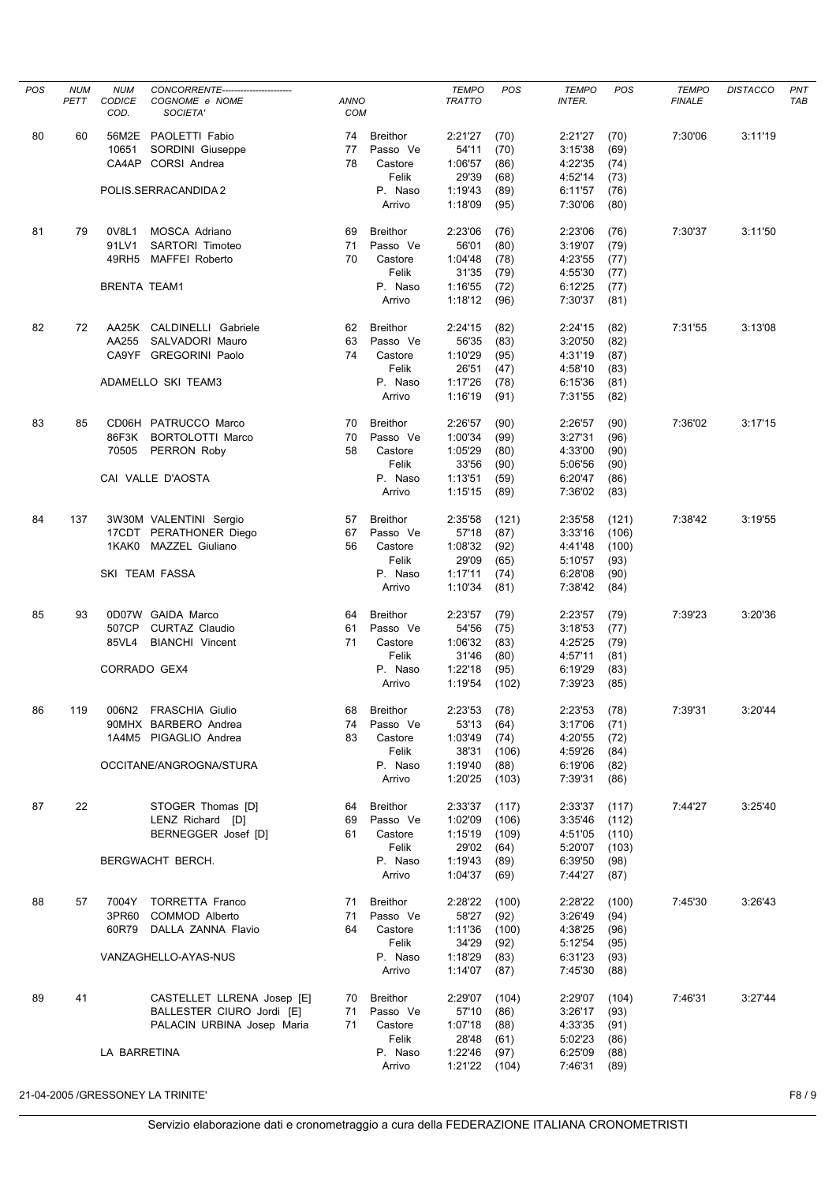| POS | <b>NUM</b> | <b>NUM</b>          | CONCORRENTE----------------------- |             |                 | <b>TEMPO</b>     | POS   | <b>TEMPO</b>       | POS   | <b>TEMPO</b>  | <b>DISTACCO</b> | PNT        |
|-----|------------|---------------------|------------------------------------|-------------|-----------------|------------------|-------|--------------------|-------|---------------|-----------------|------------|
|     | PETT       | CODICE              | COGNOME e NOME                     | <b>ANNO</b> |                 | <b>TRATTO</b>    |       | <b>INTER.</b>      |       | <b>FINALE</b> |                 | <b>TAB</b> |
|     |            | COD.                | SOCIETA'                           | <b>COM</b>  |                 |                  |       |                    |       |               |                 |            |
|     |            |                     |                                    |             |                 |                  |       |                    |       |               |                 |            |
| 80  | 60         |                     | 56M2E PAOLETTI Fabio               | 74          | <b>Breithor</b> | 2:21'27          | (70)  | 2:21'27            | (70)  | 7:30'06       | 3:11'19         |            |
|     |            | 10651               | SORDINI Giuseppe                   | 77          | Passo Ve        | 54'11            | (70)  | 3:15'38            | (69)  |               |                 |            |
|     |            |                     | CA4AP CORSI Andrea                 | 78          | Castore         | 1:06'57          | (86)  | 4:22'35            | (74)  |               |                 |            |
|     |            |                     |                                    |             | Felik           | 29'39            | (68)  | 4:52'14            | (73)  |               |                 |            |
|     |            |                     | POLIS.SERRACANDIDA 2               |             | P. Naso         | 1:19'43          | (89)  | 6:11'57            | (76)  |               |                 |            |
|     |            |                     |                                    |             | Arrivo          | 1:18'09          |       | 7:30'06            |       |               |                 |            |
|     |            |                     |                                    |             |                 |                  | (95)  |                    | (80)  |               |                 |            |
|     |            |                     |                                    |             |                 |                  |       |                    |       |               |                 |            |
| 81  | 79         | 0V8L1               | MOSCA Adriano                      | 69          | <b>Breithor</b> | 2:23'06          | (76)  | 2:23'06            | (76)  | 7:30'37       | 3:11'50         |            |
|     |            | 91LV1               | SARTORI Timoteo                    | 71          | Passo Ve        | 56'01            | (80)  | 3:19'07            | (79)  |               |                 |            |
|     |            | 49RH5               | MAFFEI Roberto                     | 70          | Castore         | 1:04'48          | (78)  | 4:23'55            | (77)  |               |                 |            |
|     |            |                     |                                    |             | Felik           | 31'35            | (79)  | 4:55'30            | (77)  |               |                 |            |
|     |            | <b>BRENTA TEAM1</b> |                                    |             | P. Naso         | 1:16'55          | (72)  | 6:12'25            | (77)  |               |                 |            |
|     |            |                     |                                    |             | Arrivo          | 1:18'12          | (96)  | 7:30'37            | (81)  |               |                 |            |
|     |            |                     |                                    |             |                 |                  |       |                    |       |               |                 |            |
| 82  | 72         |                     | AA25K CALDINELLI Gabriele          | 62          | <b>Breithor</b> | 2:24'15          | (82)  | 2:24'15            | (82)  | 7:31'55       | 3:13'08         |            |
|     |            | AA255               | SALVADORI Mauro                    | 63          | Passo Ve        | 56'35            | (83)  | 3:20'50            | (82)  |               |                 |            |
|     |            |                     | CA9YF GREGORINI Paolo              |             | Castore         |                  |       |                    |       |               |                 |            |
|     |            |                     |                                    | 74          |                 | 1:10'29          | (95)  | 4:31'19            | (87)  |               |                 |            |
|     |            |                     |                                    |             | Felik           | 26'51            | (47)  | 4:58'10            | (83)  |               |                 |            |
|     |            |                     | ADAMELLO SKI TEAM3                 |             | P. Naso         | 1:17'26          | (78)  | 6:15'36            | (81)  |               |                 |            |
|     |            |                     |                                    |             | Arrivo          | 1:16'19          | (91)  | 7:31'55            | (82)  |               |                 |            |
|     |            |                     |                                    |             |                 |                  |       |                    |       |               |                 |            |
| 83  | 85         |                     | CD06H PATRUCCO Marco               | 70          | <b>Breithor</b> | 2:26'57          | (90)  | 2:26'57            | (90)  | 7:36'02       | 3:17'15         |            |
|     |            | 86F3K               | <b>BORTOLOTTI Marco</b>            | 70          | Passo Ve        | 1:00'34          | (99)  | 3:27'31            | (96)  |               |                 |            |
|     |            | 70505               | PERRON Roby                        | 58          | Castore         | 1:05'29          | (80)  | 4:33'00            | (90)  |               |                 |            |
|     |            |                     |                                    |             | Felik           | 33'56            | (90)  | 5:06'56            | (90)  |               |                 |            |
|     |            |                     |                                    |             |                 |                  |       |                    |       |               |                 |            |
|     |            |                     | CAI VALLE D'AOSTA                  |             | P. Naso         | 1:13'51          | (59)  | 6:20'47            | (86)  |               |                 |            |
|     |            |                     |                                    |             | Arrivo          | 1:15'15          | (89)  | 7:36'02            | (83)  |               |                 |            |
|     |            |                     |                                    |             |                 |                  |       |                    |       |               |                 |            |
| 84  | 137        |                     | 3W30M VALENTINI Sergio             | 57          | <b>Breithor</b> | 2:35'58          | (121) | 2:35'58            | (121) | 7:38'42       | 3:19'55         |            |
|     |            |                     | 17CDT PERATHONER Diego             | 67          | Passo Ve        | 57'18            | (87)  | 3:33'16            | (106) |               |                 |            |
|     |            |                     | 1KAK0 MAZZEL Giuliano              | 56          | Castore         | 1:08'32          | (92)  | 4:41'48            | (100) |               |                 |            |
|     |            |                     |                                    |             | Felik           | 29'09            | (65)  | 5:10'57            | (93)  |               |                 |            |
|     |            |                     | SKI TEAM FASSA                     |             | P. Naso         | 1:17'11          | (74)  | 6:28'08            | (90)  |               |                 |            |
|     |            |                     |                                    |             | Arrivo          | 1:10'34          | (81)  | 7:38'42            | (84)  |               |                 |            |
|     |            |                     |                                    |             |                 |                  |       |                    |       |               |                 |            |
| 85  | 93         |                     | 0D07W GAIDA Marco                  | 64          | <b>Breithor</b> | 2:23'57          | (79)  | 2:23'57            | (79)  | 7:39'23       | 3:20'36         |            |
|     |            | 507CP               | CURTAZ Claudio                     | 61          | Passo Ve        | 54'56            | (75)  | 3:18'53            | (77)  |               |                 |            |
|     |            | 85VL4               | <b>BIANCHI Vincent</b>             | 71          | Castore         | 1:06'32          | (83)  | 4:25'25            | (79)  |               |                 |            |
|     |            |                     |                                    |             | Felik           | 31'46            | (80)  | 4:57'11            | (81)  |               |                 |            |
|     |            |                     |                                    |             |                 | 1:22'18          |       |                    |       |               |                 |            |
|     |            | CORRADO GEX4        |                                    |             | P. Naso         |                  | (95)  | 6:19'29            | (83)  |               |                 |            |
|     |            |                     |                                    |             | Arrivo          | 1:19'54          | (102) | 7:39'23            | (85)  |               |                 |            |
|     |            |                     |                                    |             |                 |                  |       |                    |       |               |                 |            |
| 86  | 119        |                     | 006N2 FRASCHIA Giulio              | 68          | Breithor        | 2:23'53          | (78)  | 2:23'53            | (78)  | 7:39'31       | 3:20'44         |            |
|     |            |                     | 90MHX BARBERO Andrea               | 74          | Passo Ve        | 53'13            | (64)  | 3:17'06            | (71)  |               |                 |            |
|     |            |                     | 1A4M5 PIGAGLIO Andrea              | 83          | Castore         | 1:03'49          | (74)  | 4:20'55            | (72)  |               |                 |            |
|     |            |                     |                                    |             | Felik           | 38'31            | (106) | 4:59'26            | (84)  |               |                 |            |
|     |            |                     | OCCITANE/ANGROGNA/STURA            |             | P. Naso         | 1:19'40          | (88)  | 6:19'06            | (82)  |               |                 |            |
|     |            |                     |                                    |             | Arrivo          | 1:20'25          | (103) | 7:39'31            | (86)  |               |                 |            |
|     |            |                     |                                    |             |                 |                  |       |                    |       |               |                 |            |
| 87  | 22         |                     | STOGER Thomas [D]                  | 64          | Breithor        | 2:33'37          | (117) | 2:33'37            | (117) | 7:44'27       | 3:25'40         |            |
|     |            |                     | LENZ Richard [D]                   | 69          | Passo Ve        | 1:02'09          | (106) | 3:35'46            | (112) |               |                 |            |
|     |            |                     | BERNEGGER Josef [D]                | 61          | Castore         | 1:15'19          | (109) | 4:51'05            | (110) |               |                 |            |
|     |            |                     |                                    |             | Felik           | 29'02            | (64)  | 5:20'07            | (103) |               |                 |            |
|     |            |                     |                                    |             | P. Naso         |                  |       |                    |       |               |                 |            |
|     |            |                     | BERGWACHT BERCH.                   |             |                 | 1:19'43          | (89)  | 6:39'50            | (98)  |               |                 |            |
|     |            |                     |                                    |             | Arrivo          | 1:04'37          | (69)  | 7:44'27            | (87)  |               |                 |            |
| 88  |            |                     | 7004Y TORRETTA Franco              | 71          | <b>Breithor</b> |                  |       |                    |       | 7:45'30       | 3:26'43         |            |
|     | 57         |                     |                                    |             |                 | 2:28'22<br>58'27 | (100) | 2:28'22<br>3:26'49 | (100) |               |                 |            |
|     |            | 3PR60               | COMMOD Alberto                     | 71          | Passo Ve        |                  | (92)  |                    | (94)  |               |                 |            |
|     |            | 60R79               | DALLA ZANNA Flavio                 | 64          | Castore         | 1:11'36          | (100) | 4:38'25            | (96)  |               |                 |            |
|     |            |                     |                                    |             | Felik           | 34'29            | (92)  | 5:12'54            | (95)  |               |                 |            |
|     |            |                     | VANZAGHELLO-AYAS-NUS               |             | P. Naso         | 1:18'29          | (83)  | 6:31'23            | (93)  |               |                 |            |
|     |            |                     |                                    |             | Arrivo          | 1:14'07          | (87)  | 7:45'30            | (88)  |               |                 |            |
|     |            |                     |                                    |             |                 |                  |       |                    |       |               |                 |            |
| 89  | 41         |                     | CASTELLET LLRENA Josep [E]         | 70          | Breithor        | 2:29'07          | (104) | 2:29'07            | (104) | 7:46'31       | 3:27'44         |            |
|     |            |                     | BALLESTER CIURO Jordi [E]          | 71          | Passo Ve        | 57'10            | (86)  | 3:26'17            | (93)  |               |                 |            |
|     |            |                     | PALACIN URBINA Josep Maria         | 71          | Castore         | 1:07'18          | (88)  | 4:33'35            | (91)  |               |                 |            |
|     |            |                     |                                    |             | Felik           | 28'48            | (61)  | 5:02'23            | (86)  |               |                 |            |
|     |            | LA BARRETINA        |                                    |             | P. Naso         | 1:22'46          | (97)  | 6:25'09            | (88)  |               |                 |            |
|     |            |                     |                                    |             | Arrivo          | 1:21'22          |       | 7:46'31            | (89)  |               |                 |            |
|     |            |                     |                                    |             |                 |                  | (104) |                    |       |               |                 |            |
|     |            |                     |                                    |             |                 |                  |       |                    |       |               |                 |            |

21-04-2005 /GRESSONEY LA TRINITE' F8 / 9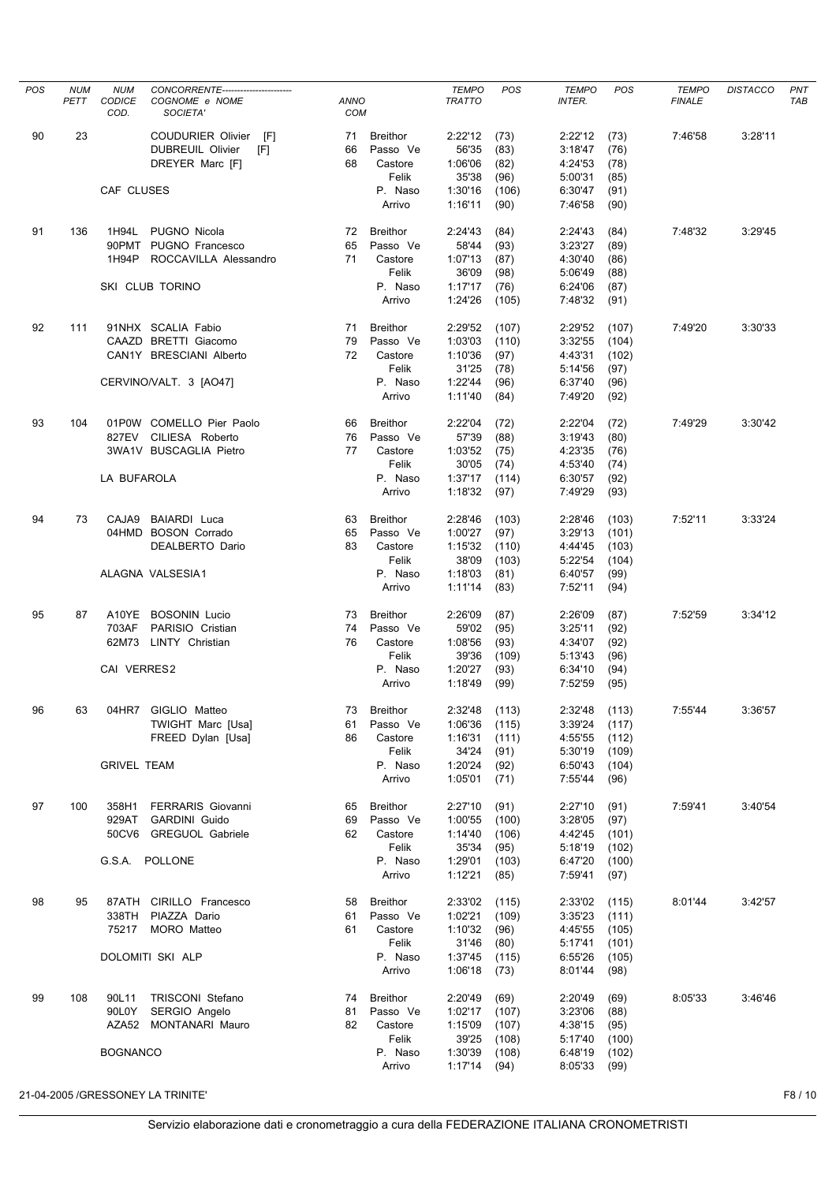| POS | <b>NUM</b><br>PETT | <b>NUM</b><br><b>CODICE</b><br>COD. | CONCORRENTE-----------------------<br>COGNOME e NOME<br>SOCIETA'                                | <b>ANNO</b><br>COM |                                                            | <b>TEMPO</b><br><b>TRATTO</b>                     | POS                                    | <b>TEMPO</b><br><b>INTER.</b>                       | POS                                     | <b>TEMPO</b><br><b>FINALE</b> | <b>DISTACCO</b> | PNT<br><b>TAB</b> |
|-----|--------------------|-------------------------------------|-------------------------------------------------------------------------------------------------|--------------------|------------------------------------------------------------|---------------------------------------------------|----------------------------------------|-----------------------------------------------------|-----------------------------------------|-------------------------------|-----------------|-------------------|
| 90  | 23                 |                                     | <b>COUDURIER Olivier</b><br>[F]<br>DUBREUIL Olivier<br>[F]<br>DREYER Marc [F]                   | 71<br>66<br>68     | <b>Breithor</b><br>Passo Ve<br>Castore                     | 2:22'12<br>56'35<br>1:06'06                       | (73)<br>(83)<br>(82)                   | 2:22'12<br>3:18'47<br>4:24'53                       | (73)<br>(76)<br>(78)                    | 7:46'58                       | 3:28'11         |                   |
|     |                    | CAF CLUSES                          |                                                                                                 |                    | Felik<br>P. Naso<br>Arrivo                                 | 35'38<br>1:30'16<br>1:16'11                       | (96)<br>(106)<br>(90)                  | 5:00'31<br>6:30'47<br>7:46'58                       | (85)<br>(91)<br>(90)                    |                               |                 |                   |
| 91  | 136                | 1H94L<br>1H94P                      | PUGNO Nicola<br>90PMT PUGNO Francesco<br>ROCCAVILLA Alessandro                                  | 72<br>65<br>71     | <b>Breithor</b><br>Passo Ve<br>Castore<br>Felik            | 2:24'43<br>58'44<br>1:07'13<br>36'09              | (84)<br>(93)<br>(87)<br>(98)           | 2:24'43<br>3:23'27<br>4:30'40<br>5:06'49            | (84)<br>(89)<br>(86)<br>(88)            | 7:48'32                       | 3:29'45         |                   |
|     |                    |                                     | SKI CLUB TORINO                                                                                 |                    | P. Naso<br>Arrivo                                          | 1:17'17<br>1:24'26                                | (76)<br>(105)                          | 6:24'06<br>7:48'32                                  | (87)<br>(91)                            |                               |                 |                   |
| 92  | 111                |                                     | 91NHX SCALIA Fabio<br>CAAZD BRETTI Giacomo<br>CAN1Y BRESCIANI Alberto<br>CERVINO/VALT. 3 [AO47] | 71<br>79<br>72     | <b>Breithor</b><br>Passo Ve<br>Castore<br>Felik<br>P. Naso | 2:29'52<br>1:03'03<br>1:10'36<br>31'25<br>1:22'44 | (107)<br>(110)<br>(97)<br>(78)<br>(96) | 2:29'52<br>3:32'55<br>4:43'31<br>5:14'56<br>6:37'40 | (107)<br>(104)<br>(102)<br>(97)<br>(96) | 7:49'20                       | 3:30'33         |                   |
|     |                    |                                     |                                                                                                 |                    | Arrivo                                                     | 1:11'40                                           | (84)                                   | 7:49'20                                             | (92)                                    |                               |                 |                   |
| 93  | 104                | LA BUFAROLA                         | 01P0W COMELLO Pier Paolo<br>827EV CILIESA Roberto<br>3WA1V BUSCAGLIA Pietro                     | 66<br>76<br>77     | <b>Breithor</b><br>Passo Ve<br>Castore<br>Felik<br>P. Naso | 2:22'04<br>57'39<br>1:03'52<br>30'05<br>1:37'17   | (72)<br>(88)<br>(75)<br>(74)<br>(114)  | 2:22'04<br>3:19'43<br>4:23'35<br>4:53'40<br>6:30'57 | (72)<br>(80)<br>(76)<br>(74)<br>(92)    | 7:49'29                       | 3:30'42         |                   |
|     |                    |                                     |                                                                                                 |                    | Arrivo                                                     | 1:18'32                                           | (97)                                   | 7:49'29                                             | (93)                                    |                               |                 |                   |
| 94  | 73                 | CAJA9                               | <b>BAIARDI</b> Luca<br>04HMD BOSON Corrado<br>DEALBERTO Dario                                   | 63<br>65<br>83     | <b>Breithor</b><br>Passo Ve<br>Castore<br>Felik            | 2:28'46<br>1:00'27<br>1:15'32<br>38'09            | (103)<br>(97)<br>(110)<br>(103)        | 2:28'46<br>3:29'13<br>4:44'45<br>5:22'54            | (103)<br>(101)<br>(103)<br>(104)        | 7:52'11                       | 3:33'24         |                   |
|     |                    |                                     | ALAGNA VALSESIA1                                                                                |                    | P. Naso<br>Arrivo                                          | 1:18'03<br>1:11'14                                | (81)<br>(83)                           | 6:40'57<br>7:52'11                                  | (99)<br>(94)                            |                               |                 |                   |
| 95  | 87                 | 703AF                               | A10YE BOSONIN Lucio<br>PARISIO Cristian<br>62M73 LINTY Christian                                | 73<br>74<br>76     | <b>Breithor</b><br>Passo Ve<br>Castore<br>Felik            | 2:26'09<br>59'02<br>1:08'56<br>39'36              | (87)<br>(95)<br>(93)<br>(109)          | 2:26'09<br>3:25'11<br>4:34'07<br>5:13'43            | (87)<br>(92)<br>(92)                    | 7:52'59                       | 3:34'12         |                   |
|     |                    | CAI VERRES2                         |                                                                                                 |                    | P. Naso<br>Arrivo                                          | 1:20'27<br>1:18'49                                | (93)<br>(99)                           | 6:34'10<br>7:52'59                                  | (96)<br>(94)<br>(95)                    |                               |                 |                   |
| 96  | 63                 | 04HR7                               | GIGLIO Matteo<br><b>TWIGHT Marc [Usa]</b><br>FREED Dylan [Usa]                                  | 73<br>61<br>86     | <b>Breithor</b><br>Passo Ve<br>Castore<br>Felik            | 2:32'48<br>1:06'36<br>1:16'31<br>34'24            | (113)<br>(115)<br>(111)<br>(91)        | 2:32'48<br>3:39'24<br>4:55'55<br>5:30'19            | (113)<br>(117)<br>(112)<br>(109)        | 7:55'44                       | 3:36'57         |                   |
|     |                    | <b>GRIVEL TEAM</b>                  |                                                                                                 |                    | P. Naso<br>Arrivo                                          | 1:20'24<br>1:05'01                                | (92)<br>(71)                           | 6:50'43<br>7:55'44                                  | (104)<br>(96)                           |                               |                 |                   |
| 97  | 100                | 358H1<br>929AT                      | <b>FERRARIS Giovanni</b><br><b>GARDINI Guido</b><br>50CV6 GREGUOL Gabriele                      | 65<br>69<br>62     | <b>Breithor</b><br>Passo Ve<br>Castore<br>Felik            | 2:27'10<br>1:00'55<br>1:14'40<br>35'34            | (91)<br>(100)<br>(106)<br>(95)         | 2:27'10<br>3:28'05<br>4:42'45<br>5:18'19            | (91)<br>(97)<br>(101)<br>(102)          | 7:59'41                       | 3:40'54         |                   |
|     |                    |                                     | G.S.A. POLLONE                                                                                  |                    | P. Naso<br>Arrivo                                          | 1:29'01<br>1:12'21                                | (103)<br>(85)                          | 6:47'20<br>7:59'41                                  | (100)<br>(97)                           |                               |                 |                   |
| 98  | 95                 | 75217                               | 87ATH CIRILLO Francesco<br>338TH PIAZZA Dario<br>MORO Matteo                                    | 58<br>61<br>61     | <b>Breithor</b><br>Passo Ve<br>Castore<br>Felik            | 2:33'02<br>1:02'21<br>1:10'32<br>31'46            | (115)<br>(109)<br>(96)<br>(80)         | 2:33'02<br>3:35'23<br>4:45'55<br>5:17'41            | (115)<br>(111)<br>(105)<br>(101)        | 8:01'44                       | 3:42'57         |                   |
|     |                    |                                     | DOLOMITI SKI ALP                                                                                |                    | P. Naso<br>Arrivo                                          | 1:37'45<br>1:06'18                                | (115)<br>(73)                          | 6:55'26<br>8:01'44                                  | (105)<br>(98)                           |                               |                 |                   |
| 99  | 108                | 90L11<br>90L0Y                      | TRISCONI Stefano<br>SERGIO Angelo<br>AZA52 MONTANARI Mauro                                      | 74<br>81<br>82     | <b>Breithor</b><br>Passo Ve<br>Castore                     | 2:20'49<br>1:02'17<br>1:15'09                     | (69)<br>(107)<br>(107)                 | 2:20'49<br>3:23'06<br>4:38'15                       | (69)<br>(88)<br>(95)                    | 8:05'33                       | 3:46'46         |                   |
|     |                    | <b>BOGNANCO</b>                     |                                                                                                 |                    | Felik<br>P. Naso<br>Arrivo                                 | 39'25<br>1:30'39<br>1:17'14                       | (108)<br>(108)<br>(94)                 | 5:17'40<br>6:48'19<br>8:05'33                       | (100)<br>(102)<br>(99)                  |                               |                 |                   |
|     |                    |                                     | 21-04-2005 /GRESSONEY LA TRINITE'                                                               |                    |                                                            |                                                   |                                        |                                                     |                                         |                               |                 | F8/10             |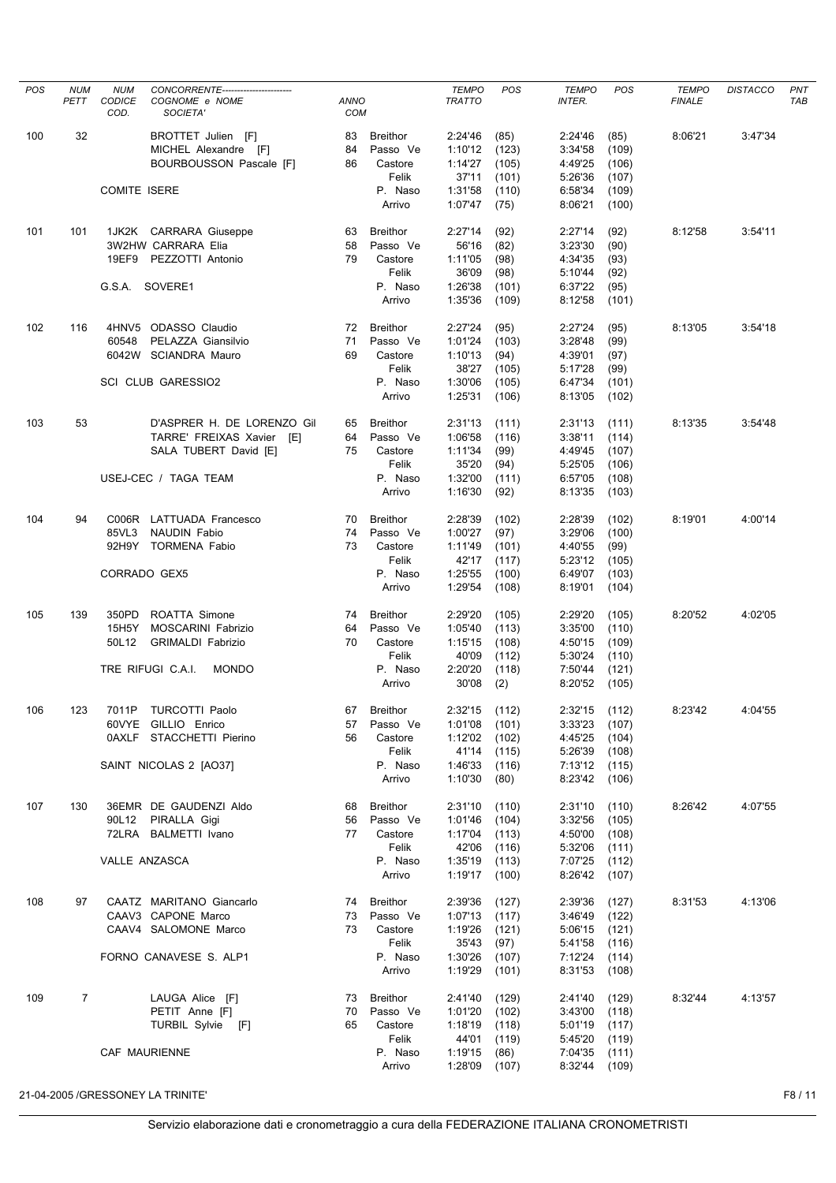| <b>POS</b> | <b>NUM</b><br>PETT | <b>NUM</b><br><b>CODICE</b><br>COD. | CONCORRENTE------------------------<br>COGNOME e NOME<br>SOCIETA'                                        | <b>ANNO</b><br><b>COM</b> |                                                               | <b>TEMPO</b><br><b>TRATTO</b>                                | <b>POS</b>                                        | <b>TEMPO</b><br><b>INTER.</b>                                                    | POS                                       | <b>TEMPO</b><br><b>FINALE</b> | <b>DISTACCO</b> | PNT<br><b>TAB</b> |
|------------|--------------------|-------------------------------------|----------------------------------------------------------------------------------------------------------|---------------------------|---------------------------------------------------------------|--------------------------------------------------------------|---------------------------------------------------|----------------------------------------------------------------------------------|-------------------------------------------|-------------------------------|-----------------|-------------------|
| 100        | 32                 |                                     | BROTTET Julien [F]<br>MICHEL Alexandre [F]<br>BOURBOUSSON Pascale [F]                                    | 83<br>84<br>86            | <b>Breithor</b><br>Passo Ve<br>Castore<br>Felik               | 2:24'46<br>1:10'12<br>1:14'27<br>37'11                       | (85)<br>(123)<br>(105)<br>(101)                   | 2:24'46<br>3:34'58<br>4:49'25<br>5:26'36                                         | (85)<br>(109)<br>(106)<br>(107)           | 8:06'21                       | 3:47'34         |                   |
|            |                    | <b>COMITE ISERE</b>                 |                                                                                                          |                           | P. Naso<br>Arrivo                                             | 1:31'58<br>1:07'47                                           | (110)<br>(75)                                     | 6:58'34<br>8:06'21                                                               | (109)<br>(100)                            |                               |                 |                   |
| 101        | 101                | 19EF9                               | 1JK2K CARRARA Giuseppe<br><b>3W2HW CARRARA Elia</b><br>PEZZOTTI Antonio                                  | 63<br>58<br>79            | <b>Breithor</b><br>Passo Ve<br>Castore<br>Felik               | 2:27'14<br>56'16<br>1:11'05<br>36'09                         | (92)<br>(82)<br>(98)<br>(98)                      | 2:27'14<br>3:23'30<br>4:34'35<br>5:10'44                                         | (92)<br>(90)<br>(93)<br>(92)              | 8:12'58                       | 3:54'11         |                   |
|            |                    |                                     | G.S.A. SOVERE1                                                                                           |                           | P. Naso<br>Arrivo                                             | 1:26'38<br>1:35'36                                           | (101)<br>(109)                                    | 6:37'22<br>8:12'58                                                               | (95)<br>(101)                             |                               |                 |                   |
| 102        | 116                | 60548                               | 4HNV5 ODASSO Claudio<br>PELAZZA Giansilvio<br>6042W SCIANDRA Mauro<br><b>SCI CLUB GARESSIO2</b>          | 72<br>71<br>69            | <b>Breithor</b><br>Passo Ve<br>Castore<br>Felik<br>P. Naso    | 2:27'24<br>1:01'24<br>1:10'13<br>38'27<br>1:30'06            | (95)<br>(103)<br>(94)<br>(105)<br>(105)           | 2:27'24<br>3:28'48<br>4:39'01<br>5:17'28<br>6:47'34                              | (95)<br>(99)<br>(97)<br>(99)<br>(101)     | 8:13'05                       | 3:54'18         |                   |
|            |                    |                                     |                                                                                                          |                           | Arrivo                                                        | 1:25'31                                                      | (106)                                             | 8:13'05                                                                          | (102)                                     |                               |                 |                   |
| 103        | 53                 |                                     | D'ASPRER H. DE LORENZO Gil<br>TARRE' FREIXAS Xavier [E]<br>SALA TUBERT David [E]<br>USEJ-CEC / TAGA TEAM | 65<br>64<br>75            | <b>Breithor</b><br>Passo Ve<br>Castore<br>Felik<br>P. Naso    | 2:31'13<br>1:06'58<br>1:11'34<br>35'20<br>1:32'00            | (111)<br>(116)<br>(99)<br>(94)<br>(111)           | 2:31'13<br>3:38'11<br>4:49'45<br>5:25'05<br>6:57'05                              | (111)<br>(114)<br>(107)<br>(106)<br>(108) | 8:13'35                       | 3:54'48         |                   |
|            |                    |                                     |                                                                                                          |                           | Arrivo                                                        | 1:16'30                                                      | (92)                                              | 8:13'35                                                                          | (103)                                     |                               |                 |                   |
| 104        | 94                 | C006R<br>85VL3<br>92H9Y             | LATTUADA Francesco<br><b>NAUDIN Fabio</b><br><b>TORMENA Fabio</b>                                        | 70<br>74<br>73            | <b>Breithor</b><br>Passo Ve<br>Castore<br>Felik               | 2:28'39<br>1:00'27<br>1:11'49<br>42'17                       | (102)<br>(97)<br>(101)<br>(117)                   | 2:28'39<br>3:29'06<br>4:40'55<br>5:23'12                                         | (102)<br>(100)<br>(99)<br>(105)           | 8:19'01                       | 4:00'14         |                   |
|            |                    | CORRADO GEX5                        |                                                                                                          |                           | P. Naso<br>Arrivo                                             | 1:25'55<br>1:29'54                                           | (100)<br>(108)                                    | 6:49'07<br>8:19'01                                                               | (103)<br>(104)                            |                               |                 |                   |
| 105        | 139                | 350PD<br>15H5Y<br>50L12             | ROATTA Simone<br><b>MOSCARINI Fabrizio</b><br><b>GRIMALDI Fabrizio</b>                                   | 74<br>64<br>70            | <b>Breithor</b><br>Passo Ve<br>Castore<br>Felik               | 2:29'20<br>1:05'40<br>1:15'15<br>40'09                       | (105)<br>(113)<br>(108)<br>(112)                  | 2:29'20<br>3:35'00<br>4:50'15<br>5:30'24                                         | (105)<br>(110)<br>(109)<br>(110)          | 8:20'52                       | 4:02'05         |                   |
|            |                    |                                     | TRE RIFUGI C.A.I.<br><b>MONDO</b>                                                                        |                           | P. Naso<br>Arrivo                                             | 2:20'20<br>30'08                                             | (118)<br>(2)                                      | 7:50'44<br>8:20'52                                                               | (121)<br>(105)                            |                               |                 |                   |
| 106        | 123                | 7011P                               | TURCOTTI Paolo<br>60VYE GILLIO Enrico<br>0AXLF STACCHETTI Pierino<br>SAINT NICOLAS 2 [AO37]              | 67<br>57<br>56            | Breithor<br>Passo Ve<br>Castore<br>Felik<br>P. Naso<br>Arrivo | 2:32'15<br>1:01'08<br>1:12'02<br>41'14<br>1:46'33<br>1:10'30 | (112)<br>(101)<br>(102)<br>(115)<br>(116)<br>(80) | 2:32'15 (112)<br>3:33'23<br>4:45'25<br>5:26'39<br>7:13'12 (115)<br>8:23'42 (106) | (107)<br>(104)<br>(108)                   | 8:23'42                       | 4:04'55         |                   |
| 107        | 130                | 90L12                               | 36EMR DE GAUDENZI Aldo<br>PIRALLA Gigi<br>72LRA BALMETTI Ivano                                           | 68<br>56<br>77            | <b>Breithor</b><br>Passo Ve<br>Castore<br>Felik               | 2:31'10<br>1:01'46<br>1:17'04<br>42'06                       | (110)<br>(104)<br>(113)<br>(116)                  | 2:31'10<br>3:32'56<br>4:50'00<br>5:32'06                                         | (110)<br>(105)<br>(108)<br>(111)          | 8:26'42                       | 4:07'55         |                   |
|            |                    | VALLE ANZASCA                       |                                                                                                          |                           | P. Naso<br>Arrivo                                             | 1:35'19<br>1:19'17                                           | (113)<br>(100)                                    | 7:07'25<br>8:26'42                                                               | (112)<br>(107)                            |                               |                 |                   |
| 108        | 97                 |                                     | CAATZ MARITANO Giancarlo<br>CAAV3 CAPONE Marco<br>CAAV4 SALOMONE Marco                                   | 74<br>73<br>73            | Breithor<br>Passo Ve<br>Castore<br>Felik                      | 2:39'36<br>1:07'13<br>1:19'26<br>35'43                       | (127)<br>(117)<br>(121)<br>(97)                   | 2:39'36<br>3:46'49<br>5:06'15<br>5:41'58                                         | (127)<br>(122)<br>(121)                   | 8:31'53                       | 4:13'06         |                   |
|            |                    |                                     | FORNO CANAVESE S. ALP1                                                                                   |                           | P. Naso<br>Arrivo                                             | 1:30'26<br>1:19'29                                           | (107)<br>(101)                                    | 7:12'24<br>8:31'53                                                               | (116)<br>(114)<br>(108)                   |                               |                 |                   |
| 109        | $\overline{7}$     |                                     | LAUGA Alice [F]<br>PETIT Anne [F]<br>TURBIL Sylvie [F]                                                   | 73<br>70<br>65            | Breithor<br>Passo Ve<br>Castore<br>Felik                      | 2:41'40<br>1:01'20<br>1:18'19<br>44'01                       | (129)<br>(102)<br>(118)<br>(119)                  | 2:41'40<br>3:43'00<br>5:01'19<br>5:45'20                                         | (129)<br>(118)<br>(117)<br>(119)          | 8:32'44                       | 4:13'57         |                   |
|            |                    |                                     | CAF MAURIENNE                                                                                            |                           | P. Naso<br>Arrivo                                             | 1:19'15<br>1:28'09                                           | (86)<br>(107)                                     | 7:04'35<br>8:32'44                                                               | (111)<br>(109)                            |                               |                 |                   |
|            |                    |                                     | 21-04-2005 /GRESSONEY LA TRINITE'                                                                        |                           |                                                               |                                                              |                                                   |                                                                                  |                                           |                               |                 | F8/11             |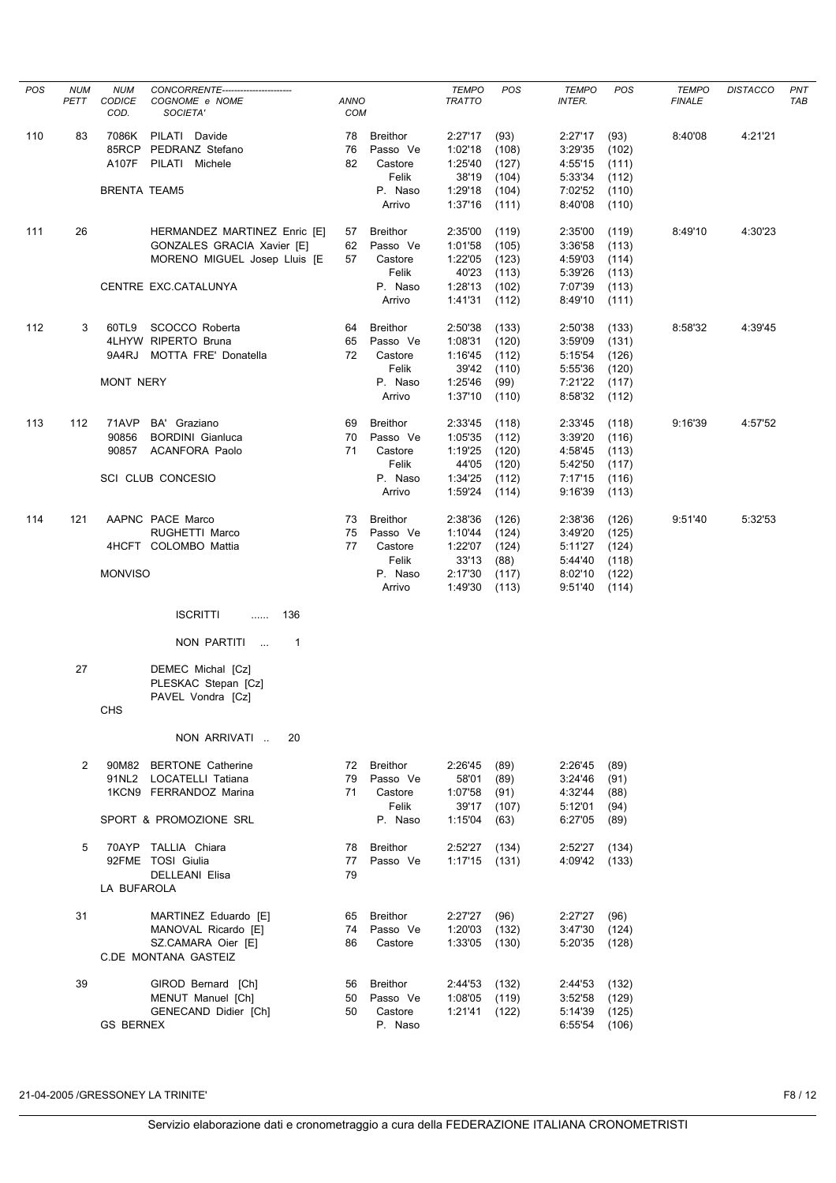| <b>POS</b> | <b>NUM</b><br>PETT | <b>NUM</b><br>CODICE<br>COD. | CONCORRENTE-----------------------<br>COGNOME e NOME<br>SOCIETA' | <b>ANNO</b><br><b>COM</b> |                             | <b>TEMPO</b><br><b>TRATTO</b> | POS            | <b>TEMPO</b><br>INTER. | POS            | <b>TEMPO</b><br><b>FINALE</b> | <b>DISTACCO</b> | <b>PNT</b><br>TAB |
|------------|--------------------|------------------------------|------------------------------------------------------------------|---------------------------|-----------------------------|-------------------------------|----------------|------------------------|----------------|-------------------------------|-----------------|-------------------|
| 110        | 83                 | 7086K<br>85RCP               | PILATI Davide<br>PEDRANZ Stefano                                 | 78<br>76                  | <b>Breithor</b><br>Passo Ve | 2:27'17<br>1:02'18            | (93)<br>(108)  | 2:27'17<br>3:29'35     | (93)<br>(102)  | 8:40'08                       | 4:21'21         |                   |
|            |                    | A107F                        | PILATI Michele                                                   | 82                        | Castore<br>Felik            | 1:25'40<br>38'19              | (127)<br>(104) | 4:55'15<br>5:33'34     | (111)<br>(112) |                               |                 |                   |
|            |                    | <b>BRENTA TEAM5</b>          |                                                                  |                           | P. Naso                     | 1:29'18                       | (104)          | 7:02'52                | (110)          |                               |                 |                   |
|            |                    |                              |                                                                  |                           | Arrivo                      | 1:37'16                       | (111)          | 8:40'08                | (110)          |                               |                 |                   |
| 111        | 26                 |                              | HERMANDEZ MARTINEZ Enric [E]                                     | 57                        | <b>Breithor</b>             | 2:35'00                       | (119)          | 2:35'00                | (119)          | 8:49'10                       | 4:30'23         |                   |
|            |                    |                              | GONZALES GRACIA Xavier [E]                                       | 62                        | Passo Ve                    | 1:01'58                       | (105)          | 3:36'58                | (113)          |                               |                 |                   |
|            |                    |                              | MORENO MIGUEL Josep Lluis [E                                     | 57                        | Castore<br>Felik            | 1:22'05<br>40'23              | (123)<br>(113) | 4:59'03<br>5:39'26     | (114)<br>(113) |                               |                 |                   |
|            |                    |                              | CENTRE EXC.CATALUNYA                                             |                           | P. Naso                     | 1:28'13                       | (102)          | 7:07'39                | (113)          |                               |                 |                   |
|            |                    |                              |                                                                  |                           | Arrivo                      | 1:41'31                       | (112)          | 8:49'10                | (111)          |                               |                 |                   |
| 112        | 3                  |                              | 60TL9 SCOCCO Roberta                                             | 64                        | <b>Breithor</b>             | 2:50'38                       | (133)          | 2:50'38                | (133)          | 8:58'32                       | 4:39'45         |                   |
|            |                    |                              | 4LHYW RIPERTO Bruna                                              | 65                        | Passo Ve                    | 1:08'31                       | (120)          | 3:59'09                | (131)          |                               |                 |                   |
|            |                    | 9A4RJ                        | MOTTA FRE' Donatella                                             | 72                        | Castore                     | 1:16'45                       | (112)          | 5:15'54                | (126)          |                               |                 |                   |
|            |                    | <b>MONT NERY</b>             |                                                                  |                           | Felik<br>P. Naso            | 39'42<br>1:25'46              | (110)<br>(99)  | 5:55'36<br>7:21'22     | (120)<br>(117) |                               |                 |                   |
|            |                    |                              |                                                                  |                           | Arrivo                      | 1:37'10                       | (110)          | 8:58'32                | (112)          |                               |                 |                   |
| 113        | 112                | 71AVP                        | BA' Graziano                                                     | 69                        | <b>Breithor</b>             | 2:33'45                       | (118)          | 2:33'45                | (118)          | 9:16'39                       | 4:57'52         |                   |
|            |                    | 90856                        | <b>BORDINI</b> Gianluca                                          | 70                        | Passo Ve                    | 1:05'35                       | (112)          | 3:39'20                | (116)          |                               |                 |                   |
|            |                    | 90857                        | <b>ACANFORA Paolo</b>                                            | 71                        | Castore                     | 1:19'25                       | (120)          | 4:58'45                | (113)          |                               |                 |                   |
|            |                    |                              |                                                                  |                           | Felik                       | 44'05                         | (120)          | 5:42'50                | (117)          |                               |                 |                   |
|            |                    |                              | SCI CLUB CONCESIO                                                |                           | P. Naso<br>Arrivo           | 1:34'25<br>1:59'24            | (112)<br>(114) | 7:17'15<br>9:16'39     | (116)<br>(113) |                               |                 |                   |
|            |                    |                              |                                                                  |                           |                             |                               |                |                        |                |                               |                 |                   |
| 114        | 121                |                              | AAPNC PACE Marco<br>RUGHETTI Marco                               | 73<br>75                  | <b>Breithor</b><br>Passo Ve | 2:38'36<br>1:10'44            | (126)<br>(124) | 2:38'36<br>3:49'20     | (126)<br>(125) | 9:51'40                       | 5:32'53         |                   |
|            |                    |                              | 4HCFT COLOMBO Mattia                                             | 77                        | Castore                     | 1:22'07                       | (124)          | 5:11'27                | (124)          |                               |                 |                   |
|            |                    |                              |                                                                  |                           | Felik                       | 33'13                         | (88)           | 5:44'40                | (118)          |                               |                 |                   |
|            |                    | <b>MONVISO</b>               |                                                                  |                           | P. Naso<br>Arrivo           | 2:17'30<br>1:49'30            | (117)<br>(113) | 8:02'10<br>9:51'40     | (122)<br>(114) |                               |                 |                   |
|            |                    |                              | <b>ISCRITTI</b><br>136<br>.                                      |                           |                             |                               |                |                        |                |                               |                 |                   |
|            |                    |                              | NON PARTITI<br>$\overline{1}$                                    |                           |                             |                               |                |                        |                |                               |                 |                   |
|            | 27                 |                              | DEMEC Michal [Cz]<br>PLESKAC Stepan [Cz]                         |                           |                             |                               |                |                        |                |                               |                 |                   |
|            |                    | <b>CHS</b>                   | PAVEL Vondra [Cz]                                                |                           |                             |                               |                |                        |                |                               |                 |                   |
|            |                    |                              | NON ARRIVATI<br>20                                               |                           |                             |                               |                |                        |                |                               |                 |                   |
|            | 2                  |                              | 90M82 BERTONE Catherine                                          | 72                        | Breithor                    | 2:26'45                       | (89)           | 2:26'45                | (89)           |                               |                 |                   |
|            |                    |                              | 91NL2 LOCATELLI Tatiana                                          | 79                        | Passo Ve                    | 58'01<br>1:07'58              | (89)           | 3:24'46                | (91)           |                               |                 |                   |
|            |                    |                              | 1KCN9 FERRANDOZ Marina                                           | 71                        | Castore<br>Felik            | 39'17                         | (91)<br>(107)  | 4:32'44<br>5:12'01     | (88)<br>(94)   |                               |                 |                   |
|            |                    |                              | SPORT & PROMOZIONE SRL                                           |                           | P. Naso                     | 1:15'04                       | (63)           | 6:27'05                | (89)           |                               |                 |                   |
|            | 5                  |                              | 70AYP TALLIA Chiara                                              | 78                        | Breithor                    | 2:52'27                       | (134)          | 2:52'27                | (134)          |                               |                 |                   |
|            |                    |                              | 92FME TOSI Giulia                                                | 77                        | Passo Ve                    | 1:17'15                       | (131)          | 4:09'42                | (133)          |                               |                 |                   |
|            |                    | LA BUFAROLA                  | DELLEANI Elisa                                                   | 79                        |                             |                               |                |                        |                |                               |                 |                   |
|            |                    |                              |                                                                  |                           |                             |                               |                |                        |                |                               |                 |                   |
|            | 31                 |                              | MARTINEZ Eduardo [E]<br>MANOVAL Ricardo [E]                      | 65<br>74                  | Breithor<br>Passo Ve        | 2:27'27<br>1:20'03            | (96)<br>(132)  | 2:27'27<br>3:47'30     | (96)<br>(124)  |                               |                 |                   |
|            |                    |                              | SZ.CAMARA Oier [E]                                               | 86                        | Castore                     | 1:33'05                       | (130)          | 5:20'35                | (128)          |                               |                 |                   |
|            |                    |                              | C.DE MONTANA GASTEIZ                                             |                           |                             |                               |                |                        |                |                               |                 |                   |
|            | 39                 |                              | GIROD Bernard [Ch]                                               | 56                        | Breithor                    | 2:44'53                       | (132)          | 2:44'53                | (132)          |                               |                 |                   |
|            |                    |                              | MENUT Manuel [Ch]                                                | 50                        | Passo Ve                    | 1:08'05                       | (119)          | 3:52'58                | (129)          |                               |                 |                   |
|            |                    | <b>GS BERNEX</b>             | GENECAND Didier [Ch]                                             | 50                        | Castore<br>P. Naso          | 1:21'41                       | (122)          | 5:14'39<br>6:55'54     | (125)<br>(106) |                               |                 |                   |

21-04-2005 /GRESSONEY LA TRINITE' F8 / 12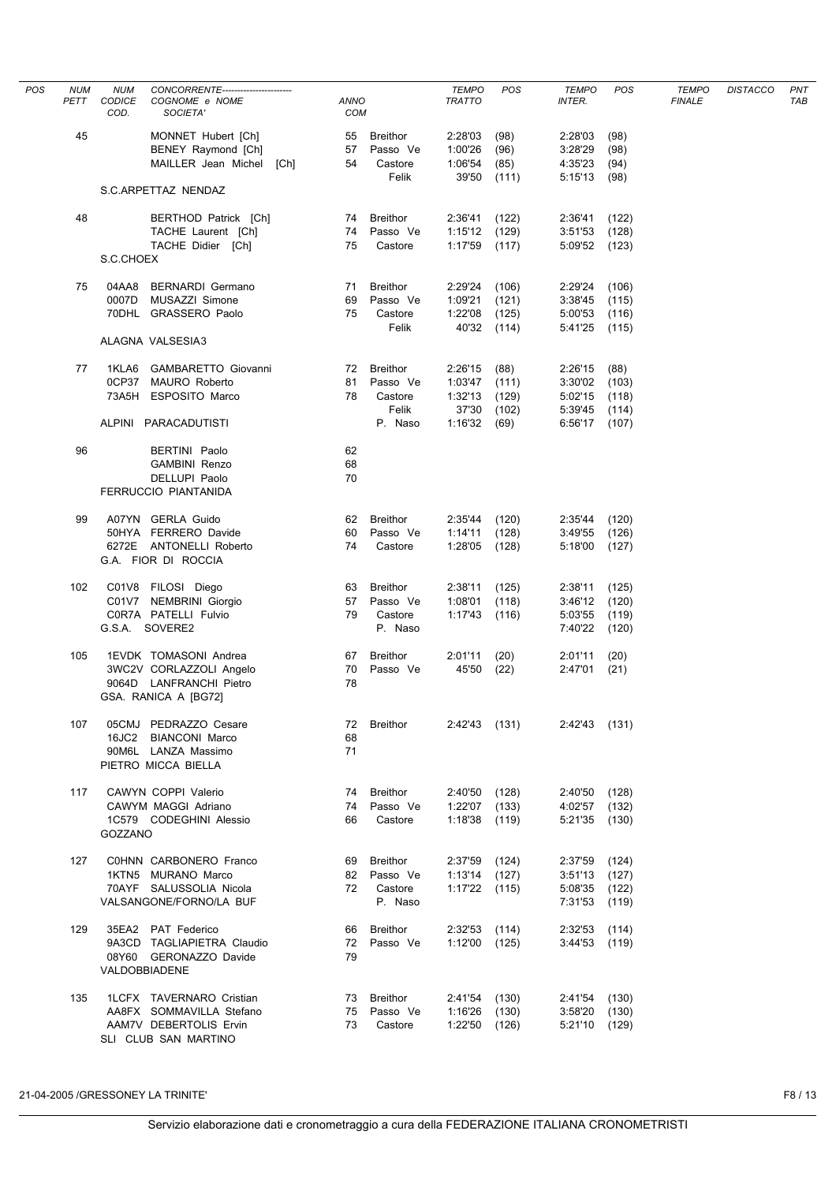| POS | <b>NUM</b><br>PETT | <b>NUM</b><br>CODICE<br>COD. | CONCORRENTE-----------------------<br>COGNOME e NOME<br>SOCIETA'                                       | ANNO<br><b>COM</b> |                                                  | <b>TEMPO</b><br><b>TRATTO</b>                         | POS                              | <b>TEMPO</b><br>INTER.                          | <b>POS</b>                       | <b>TEMPO</b><br><b>FINALE</b> | <b>DISTACCO</b> | <b>PNT</b><br>TAB |
|-----|--------------------|------------------------------|--------------------------------------------------------------------------------------------------------|--------------------|--------------------------------------------------|-------------------------------------------------------|----------------------------------|-------------------------------------------------|----------------------------------|-------------------------------|-----------------|-------------------|
|     | 45                 |                              | MONNET Hubert [Ch]<br>BENEY Raymond [Ch]<br>MAILLER Jean Michel [Ch]                                   | 57<br>54           | 55 Breithor<br>Passo Ve<br>Castore<br>Felik      | 2:28'03<br>1:00'26<br>1:06'54<br>39'50                | (98)<br>(96)<br>(85)<br>(111)    | 2:28'03<br>3:28'29<br>4:35'23<br>5:15'13        | (98)<br>(98)<br>(94)<br>(98)     |                               |                 |                   |
|     |                    |                              | S.C.ARPETTAZ NENDAZ                                                                                    |                    |                                                  |                                                       |                                  |                                                 |                                  |                               |                 |                   |
|     | 48                 |                              | BERTHOD Patrick [Ch]<br>TACHE Laurent [Ch]<br>TACHE Didier [Ch]                                        | 75                 | 74 Breithor<br>74 Passo Ve<br>Castore            | 2:36'41<br>1:15'12<br>1:17'59                         | (122)<br>(129)<br>(117)          | 2:36'41<br>3:51'53<br>5:09'52 (123)             | (122)<br>(128)                   |                               |                 |                   |
|     |                    | S.C.CHOEX                    |                                                                                                        |                    |                                                  |                                                       |                                  |                                                 |                                  |                               |                 |                   |
|     | 75                 | 04AA8<br>0007D               | <b>BERNARDI Germano</b><br>MUSAZZI Simone<br>70DHL GRASSERO Paolo                                      | 69<br>75           | 71 Breithor<br>Passo Ve<br>Castore<br>Felik      | 2:29'24<br>1:09'21<br>1:22'08<br>40'32                | (106)<br>(121)<br>(125)<br>(114) | 2:29'24<br>3:38'45<br>5:00'53<br>5:41'25        | (106)<br>(115)<br>(116)<br>(115) |                               |                 |                   |
|     |                    |                              | ALAGNA VALSESIA3                                                                                       |                    |                                                  |                                                       |                                  |                                                 |                                  |                               |                 |                   |
|     | 77                 | 1KLA6                        | GAMBARETTO Giovanni<br>0CP37 MAURO Roberto<br>73A5H ESPOSITO Marco                                     | 81<br>78           | 72 Breithor<br>Passo Ve<br>Castore<br>Felik      | 2:26'15<br>1:03'47<br>1:32'13<br>37'30                | (88)<br>(111)<br>(129)<br>(102)  | 2:26'15<br>3:30'02<br>5:02'15<br>5:39'45        | (88)<br>(103)<br>(118)<br>(114)  |                               |                 |                   |
|     |                    |                              | ALPINI PARACADUTISTI                                                                                   |                    | P. Naso                                          | 1:16'32                                               | (69)                             | 6:56'17 (107)                                   |                                  |                               |                 |                   |
|     | 96                 |                              | BERTINI Paolo<br><b>GAMBINI Renzo</b><br>DELLUPI Paolo<br>FERRUCCIO PIANTANIDA                         | 62<br>68<br>70     |                                                  |                                                       |                                  |                                                 |                                  |                               |                 |                   |
|     | 99                 |                              | A07YN GERLA Guido<br>50HYA FERRERO Davide<br>6272E ANTONELLI Roberto<br>G.A. FIOR DI ROCCIA            | 62<br>74           | Breithor<br>60 Passo Ve<br>Castore               | 2:35'44<br>1:14'11<br>1:28'05                         | (120)<br>(128)<br>(128)          | 2:35'44 (120)<br>3:49'55<br>5:18'00             | (126)<br>(127)                   |                               |                 |                   |
|     | 102                |                              | C01V8 FILOSI Diego<br>C01V7 NEMBRINI Giorgio<br>C0R7A PATELLI Fulvio<br>G.S.A. SOVERE2                 | 63<br>79           | Breithor<br>57 Passo Ve<br>Castore<br>P. Naso    | 2:38'11<br>1:08'01<br>1:17'43                         | (125)<br>(118)<br>(116)          | 2:38'11<br>3:46'12<br>5:03'55<br>7:40'22        | (125)<br>(120)<br>(119)<br>(120) |                               |                 |                   |
|     | 105                |                              | 1EVDK TOMASONI Andrea<br>3WC2V CORLAZZOLI Angelo<br>9064D LANFRANCHI Pietro<br>GSA. RANICA A [BG72]    | 78                 | 67 Breithor<br>70 Passo Ve                       | 2:01'11<br>45'50                                      | (20)<br>(22)                     | 2:01'11<br>2:47'01                              | (20)<br>(21)                     |                               |                 |                   |
|     | 107                | 16JC2                        | 05CMJ PEDRAZZO Cesare<br><b>BIANCONI Marco</b><br>90M6L LANZA Massimo<br>PIETRO MICCA BIELLA           | 72<br>68<br>71     | Breithor                                         | 2:42'43 (131)                                         |                                  | 2:42'43 (131)                                   |                                  |                               |                 |                   |
|     | 117                | GOZZANO                      | CAWYN COPPI Valerio<br>CAWYM MAGGI Adriano<br>1C579 CODEGHINI Alessio                                  | 66                 | 74 Breithor<br>74 Passo Ve<br>Castore            | 2:40'50 (128)<br>1:22'07 (133)<br>$1:18'38$ (119)     |                                  | 2:40'50 (128)<br>4:02'57 (132)<br>5:21'35 (130) |                                  |                               |                 |                   |
|     | 127                |                              | COHNN CARBONERO Franco<br>1KTN5 MURANO Marco<br>70AYF SALUSSOLIA Nicola<br>VALSANGONE/FORNO/LA BUF     | 72                 | 69 Breithor<br>82 Passo Ve<br>Castore<br>P. Naso | $2:37'59$ (124)<br>$1:13'14$ (127)<br>$1:17'22$ (115) |                                  | 2:37'59<br>3:51'13<br>5:08'35<br>7:31'53        | (124)<br>(127)<br>(122)<br>(119) |                               |                 |                   |
|     | 129                |                              | 35EA2 PAT Federico<br>9A3CD TAGLIAPIETRA Claudio<br>08Y60 GERONAZZO Davide<br>VALDOBBIADENE            | 72<br>79           | 66 Breithor<br>Passo Ve                          | $2:32'53$ (114)<br>$1:12'00$ (125)                    |                                  | 2:32'53<br>3:44'53                              | (114)<br>(119)                   |                               |                 |                   |
|     | 135                |                              | 1LCFX TAVERNARO Cristian<br>AA8FX SOMMAVILLA Stefano<br>AAM7V DEBERTOLIS Ervin<br>SLI CLUB SAN MARTINO | 73                 | 73 Breithor<br>75 Passo Ve<br>Castore            | 2:41'54 (130)<br>1:16'26 (130)<br>1:22'50 (126)       |                                  | 2:41'54 (130)<br>3:58'20<br>5:21'10 (129)       | (130)                            |                               |                 |                   |